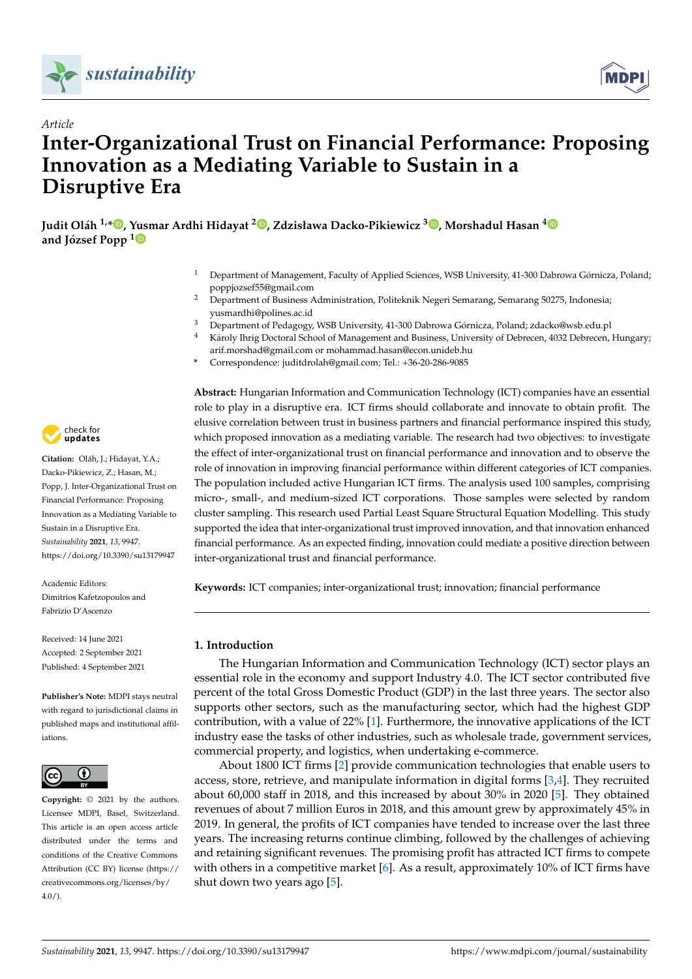



# *Article* **Inter-Organizational Trust on Financial Performance: Proposing Innovation as a Mediating Variable to Sustain in a Disruptive Era**

**Judit Oláh 1,[\\*](https://orcid.org/0000-0003-2247-1711) , Yusmar Ardhi Hidayat <sup>2</sup> [,](https://orcid.org/0000-0002-1835-6879) Zdzisława Dacko-Pikiewicz <sup>3</sup> [,](https://orcid.org/0000-0003-4542-5574) Morshadul Hasan [4](https://orcid.org/0000-0001-9857-9265) and József Popp [1](https://orcid.org/0000-0003-0848-4591)**

- <sup>1</sup> Department of Management, Faculty of Applied Sciences, WSB University, 41-300 Dabrowa Górnicza, Poland; poppjozsef55@gmail.com
- <sup>2</sup> Department of Business Administration, Politeknik Negeri Semarang, Semarang 50275, Indonesia; yusmardhi@polines.ac.id
- <sup>3</sup> Department of Pedagogy, WSB University, 41-300 Dabrowa Górnicza, Poland; zdacko@wsb.edu.pl
- <sup>4</sup> Károly Ihrig Doctoral School of Management and Business, University of Debrecen, 4032 Debrecen, Hungary; arif.morshad@gmail.com or mohammad.hasan@econ.unideb.hu
- **\*** Correspondence: juditdrolah@gmail.com; Tel.: +36-20-286-9085

check for **-**

**Citation:** Oláh, J.; Hidayat, Y.A.; Dacko-Pikiewicz, Z.; Hasan, M.; Popp, J. Inter-Organizational Trust on Financial Performance: Proposing Innovation as a Mediating Variable to Sustain in a Disruptive Era. *Sustainability* **2021**, *13*, 9947. <https://doi.org/10.3390/su13179947>

Academic Editors: Dimitrios Kafetzopoulos and Fabrizio D'Ascenzo

Received: 14 June 2021 Accepted: 2 September 2021 Published: 4 September 2021

**Publisher's Note:** MDPI stays neutral with regard to jurisdictional claims in published maps and institutional affiliations.



**Copyright:** © 2021 by the authors. Licensee MDPI, Basel, Switzerland. This article is an open access article distributed under the terms and conditions of the Creative Commons Attribution (CC BY) license (https:/[/](https://creativecommons.org/licenses/by/4.0/) [creativecommons.org/licenses/by/](https://creativecommons.org/licenses/by/4.0/)  $4.0/$ ).

**Abstract:** Hungarian Information and Communication Technology (ICT) companies have an essential role to play in a disruptive era. ICT firms should collaborate and innovate to obtain profit. The elusive correlation between trust in business partners and financial performance inspired this study, which proposed innovation as a mediating variable. The research had two objectives: to investigate the effect of inter-organizational trust on financial performance and innovation and to observe the role of innovation in improving financial performance within different categories of ICT companies. The population included active Hungarian ICT firms. The analysis used 100 samples, comprising micro-, small-, and medium-sized ICT corporations. Those samples were selected by random cluster sampling. This research used Partial Least Square Structural Equation Modelling. This study supported the idea that inter-organizational trust improved innovation, and that innovation enhanced financial performance. As an expected finding, innovation could mediate a positive direction between inter-organizational trust and financial performance.

**Keywords:** ICT companies; inter-organizational trust; innovation; financial performance

## **1. Introduction**

The Hungarian Information and Communication Technology (ICT) sector plays an essential role in the economy and support Industry 4.0. The ICT sector contributed five percent of the total Gross Domestic Product (GDP) in the last three years. The sector also supports other sectors, such as the manufacturing sector, which had the highest GDP contribution, with a value of 22% [\[1\]](#page-14-0). Furthermore, the innovative applications of the ICT industry ease the tasks of other industries, such as wholesale trade, government services, commercial property, and logistics, when undertaking e-commerce.

About 1800 ICT firms [\[2\]](#page-14-1) provide communication technologies that enable users to access, store, retrieve, and manipulate information in digital forms [\[3,](#page-14-2)[4\]](#page-14-3). They recruited about 60,000 staff in 2018, and this increased by about 30% in 2020 [\[5\]](#page-14-4). They obtained revenues of about 7 million Euros in 2018, and this amount grew by approximately 45% in 2019. In general, the profits of ICT companies have tended to increase over the last three years. The increasing returns continue climbing, followed by the challenges of achieving and retaining significant revenues. The promising profit has attracted ICT firms to compete with others in a competitive market  $[6]$ . As a result, approximately 10% of ICT firms have shut down two years ago [\[5\]](#page-14-4).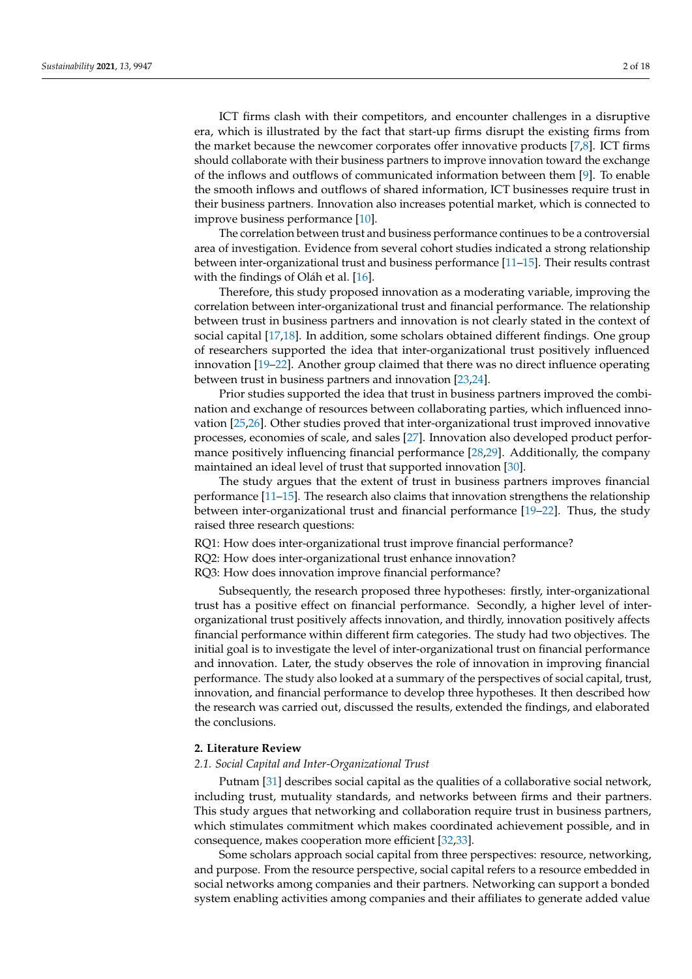ICT firms clash with their competitors, and encounter challenges in a disruptive era, which is illustrated by the fact that start-up firms disrupt the existing firms from the market because the newcomer corporates offer innovative products [\[7,](#page-14-6)[8\]](#page-14-7). ICT firms should collaborate with their business partners to improve innovation toward the exchange of the inflows and outflows of communicated information between them [\[9\]](#page-14-8). To enable the smooth inflows and outflows of shared information, ICT businesses require trust in their business partners. Innovation also increases potential market, which is connected to improve business performance [\[10\]](#page-14-9).

The correlation between trust and business performance continues to be a controversial area of investigation. Evidence from several cohort studies indicated a strong relationship between inter-organizational trust and business performance [\[11–](#page-14-10)[15\]](#page-14-11). Their results contrast with the findings of Oláh et al. [\[16\]](#page-14-12).

Therefore, this study proposed innovation as a moderating variable, improving the correlation between inter-organizational trust and financial performance. The relationship between trust in business partners and innovation is not clearly stated in the context of social capital [\[17](#page-14-13)[,18\]](#page-14-14). In addition, some scholars obtained different findings. One group of researchers supported the idea that inter-organizational trust positively influenced innovation [\[19](#page-14-15)[–22\]](#page-14-16). Another group claimed that there was no direct influence operating between trust in business partners and innovation [\[23](#page-14-17)[,24\]](#page-14-18).

Prior studies supported the idea that trust in business partners improved the combination and exchange of resources between collaborating parties, which influenced innovation [\[25,](#page-14-19)[26\]](#page-14-20). Other studies proved that inter-organizational trust improved innovative processes, economies of scale, and sales [\[27\]](#page-15-0). Innovation also developed product performance positively influencing financial performance [\[28](#page-15-1)[,29\]](#page-15-2). Additionally, the company maintained an ideal level of trust that supported innovation [\[30\]](#page-15-3).

The study argues that the extent of trust in business partners improves financial performance [\[11](#page-14-10)[–15\]](#page-14-11). The research also claims that innovation strengthens the relationship between inter-organizational trust and financial performance [\[19–](#page-14-15)[22\]](#page-14-16). Thus, the study raised three research questions:

RQ1: How does inter-organizational trust improve financial performance?

RQ2: How does inter-organizational trust enhance innovation?

RQ3: How does innovation improve financial performance?

Subsequently, the research proposed three hypotheses: firstly, inter-organizational trust has a positive effect on financial performance. Secondly, a higher level of interorganizational trust positively affects innovation, and thirdly, innovation positively affects financial performance within different firm categories. The study had two objectives. The initial goal is to investigate the level of inter-organizational trust on financial performance and innovation. Later, the study observes the role of innovation in improving financial performance. The study also looked at a summary of the perspectives of social capital, trust, innovation, and financial performance to develop three hypotheses. It then described how the research was carried out, discussed the results, extended the findings, and elaborated the conclusions.

### **2. Literature Review**

### *2.1. Social Capital and Inter-Organizational Trust*

Putnam [\[31\]](#page-15-4) describes social capital as the qualities of a collaborative social network, including trust, mutuality standards, and networks between firms and their partners. This study argues that networking and collaboration require trust in business partners, which stimulates commitment which makes coordinated achievement possible, and in consequence, makes cooperation more efficient [\[32,](#page-15-5)[33\]](#page-15-6).

Some scholars approach social capital from three perspectives: resource, networking, and purpose. From the resource perspective, social capital refers to a resource embedded in social networks among companies and their partners. Networking can support a bonded system enabling activities among companies and their affiliates to generate added value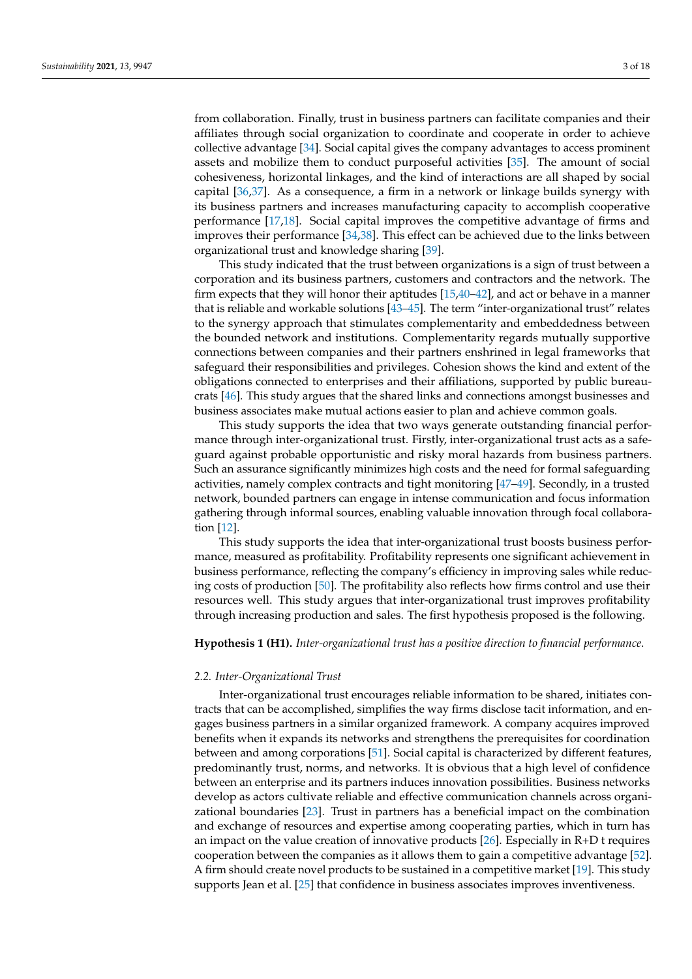from collaboration. Finally, trust in business partners can facilitate companies and their affiliates through social organization to coordinate and cooperate in order to achieve collective advantage [\[34\]](#page-15-7). Social capital gives the company advantages to access prominent assets and mobilize them to conduct purposeful activities [\[35\]](#page-15-8). The amount of social cohesiveness, horizontal linkages, and the kind of interactions are all shaped by social capital [\[36,](#page-15-9)[37\]](#page-15-10). As a consequence, a firm in a network or linkage builds synergy with its business partners and increases manufacturing capacity to accomplish cooperative performance [\[17](#page-14-13)[,18\]](#page-14-14). Social capital improves the competitive advantage of firms and improves their performance [\[34,](#page-15-7)[38\]](#page-15-11). This effect can be achieved due to the links between organizational trust and knowledge sharing [\[39\]](#page-15-12).

This study indicated that the trust between organizations is a sign of trust between a corporation and its business partners, customers and contractors and the network. The firm expects that they will honor their aptitudes [\[15](#page-14-11)[,40](#page-15-13)[–42\]](#page-15-14), and act or behave in a manner that is reliable and workable solutions [\[43](#page-15-15)[–45\]](#page-15-16). The term "inter-organizational trust" relates to the synergy approach that stimulates complementarity and embeddedness between the bounded network and institutions. Complementarity regards mutually supportive connections between companies and their partners enshrined in legal frameworks that safeguard their responsibilities and privileges. Cohesion shows the kind and extent of the obligations connected to enterprises and their affiliations, supported by public bureaucrats [\[46\]](#page-15-17). This study argues that the shared links and connections amongst businesses and business associates make mutual actions easier to plan and achieve common goals.

This study supports the idea that two ways generate outstanding financial performance through inter-organizational trust. Firstly, inter-organizational trust acts as a safeguard against probable opportunistic and risky moral hazards from business partners. Such an assurance significantly minimizes high costs and the need for formal safeguarding activities, namely complex contracts and tight monitoring [\[47](#page-15-18)[–49\]](#page-15-19). Secondly, in a trusted network, bounded partners can engage in intense communication and focus information gathering through informal sources, enabling valuable innovation through focal collaboration [\[12\]](#page-14-21).

This study supports the idea that inter-organizational trust boosts business performance, measured as profitability. Profitability represents one significant achievement in business performance, reflecting the company's efficiency in improving sales while reducing costs of production [\[50\]](#page-15-20). The profitability also reflects how firms control and use their resources well. This study argues that inter-organizational trust improves profitability through increasing production and sales. The first hypothesis proposed is the following.

### **Hypothesis 1 (H1).** *Inter-organizational trust has a positive direction to financial performance*.

### *2.2. Inter-Organizational Trust*

Inter-organizational trust encourages reliable information to be shared, initiates contracts that can be accomplished, simplifies the way firms disclose tacit information, and engages business partners in a similar organized framework. A company acquires improved benefits when it expands its networks and strengthens the prerequisites for coordination between and among corporations [\[51\]](#page-15-21). Social capital is characterized by different features, predominantly trust, norms, and networks. It is obvious that a high level of confidence between an enterprise and its partners induces innovation possibilities. Business networks develop as actors cultivate reliable and effective communication channels across organizational boundaries [\[23\]](#page-14-17). Trust in partners has a beneficial impact on the combination and exchange of resources and expertise among cooperating parties, which in turn has an impact on the value creation of innovative products [\[26\]](#page-14-20). Especially in R+D t requires cooperation between the companies as it allows them to gain a competitive advantage [\[52\]](#page-15-22). A firm should create novel products to be sustained in a competitive market [\[19\]](#page-14-15). This study supports Jean et al. [\[25\]](#page-14-19) that confidence in business associates improves inventiveness.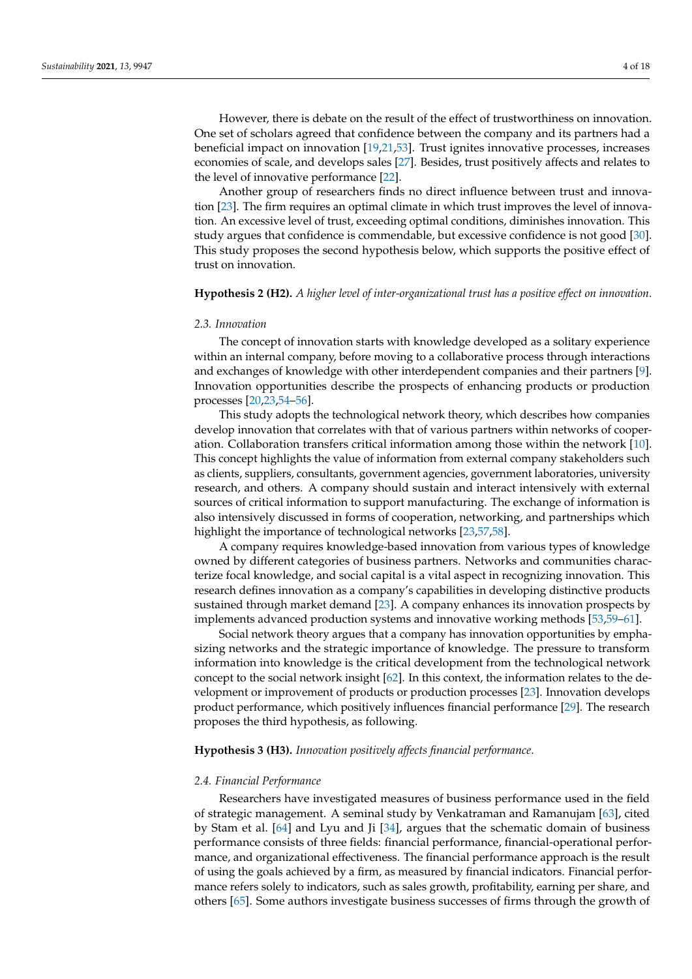However, there is debate on the result of the effect of trustworthiness on innovation. One set of scholars agreed that confidence between the company and its partners had a beneficial impact on innovation [\[19,](#page-14-15)[21,](#page-14-22)[53\]](#page-15-23). Trust ignites innovative processes, increases economies of scale, and develops sales [\[27\]](#page-15-0). Besides, trust positively affects and relates to the level of innovative performance [\[22\]](#page-14-16).

Another group of researchers finds no direct influence between trust and innovation [\[23\]](#page-14-17). The firm requires an optimal climate in which trust improves the level of innovation. An excessive level of trust, exceeding optimal conditions, diminishes innovation. This study argues that confidence is commendable, but excessive confidence is not good [\[30\]](#page-15-3). This study proposes the second hypothesis below, which supports the positive effect of trust on innovation.

### **Hypothesis 2 (H2).** *A higher level of inter-organizational trust has a positive effect on innovation*.

## *2.3. Innovation*

The concept of innovation starts with knowledge developed as a solitary experience within an internal company, before moving to a collaborative process through interactions and exchanges of knowledge with other interdependent companies and their partners [\[9\]](#page-14-8). Innovation opportunities describe the prospects of enhancing products or production processes [\[20,](#page-14-23)[23,](#page-14-17)[54](#page-15-24)[–56\]](#page-15-25).

This study adopts the technological network theory, which describes how companies develop innovation that correlates with that of various partners within networks of cooperation. Collaboration transfers critical information among those within the network [\[10\]](#page-14-9). This concept highlights the value of information from external company stakeholders such as clients, suppliers, consultants, government agencies, government laboratories, university research, and others. A company should sustain and interact intensively with external sources of critical information to support manufacturing. The exchange of information is also intensively discussed in forms of cooperation, networking, and partnerships which highlight the importance of technological networks [\[23,](#page-14-17)[57,](#page-15-26)[58\]](#page-15-27).

A company requires knowledge-based innovation from various types of knowledge owned by different categories of business partners. Networks and communities characterize focal knowledge, and social capital is a vital aspect in recognizing innovation. This research defines innovation as a company's capabilities in developing distinctive products sustained through market demand [\[23\]](#page-14-17). A company enhances its innovation prospects by implements advanced production systems and innovative working methods [\[53](#page-15-23)[,59–](#page-16-0)[61\]](#page-16-1).

Social network theory argues that a company has innovation opportunities by emphasizing networks and the strategic importance of knowledge. The pressure to transform information into knowledge is the critical development from the technological network concept to the social network insight [\[62\]](#page-16-2). In this context, the information relates to the development or improvement of products or production processes [\[23\]](#page-14-17). Innovation develops product performance, which positively influences financial performance [\[29\]](#page-15-2). The research proposes the third hypothesis, as following.

### **Hypothesis 3 (H3).** *Innovation positively affects financial performance*.

### *2.4. Financial Performance*

Researchers have investigated measures of business performance used in the field of strategic management. A seminal study by Venkatraman and Ramanujam [\[63\]](#page-16-3), cited by Stam et al. [\[64\]](#page-16-4) and Lyu and Ji [\[34\]](#page-15-7), argues that the schematic domain of business performance consists of three fields: financial performance, financial-operational performance, and organizational effectiveness. The financial performance approach is the result of using the goals achieved by a firm, as measured by financial indicators. Financial performance refers solely to indicators, such as sales growth, profitability, earning per share, and others [\[65\]](#page-16-5). Some authors investigate business successes of firms through the growth of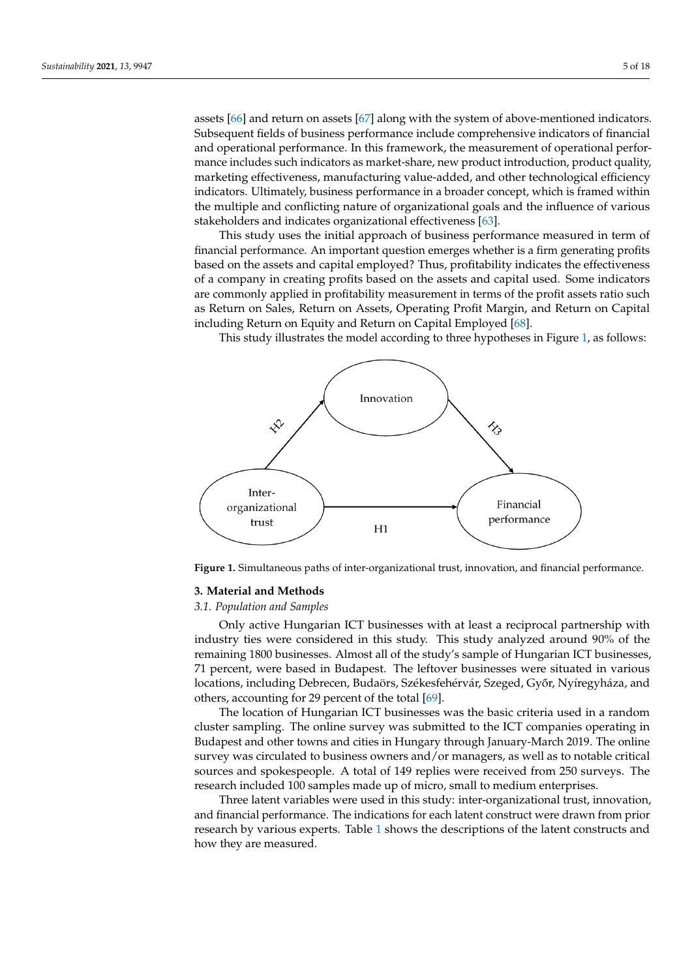assets  $[66]$  and return on assets  $[67]$  along with the system of above-mentioned indicators. Subsequent fields of business performance include comprehensive indicators of financial and operational performance. In this framework, the measurement of operational performance includes such indicators as market-share, new product introduction, product quality, marketing effectiveness, manufacturing value-added, and other technological efficiency indicators. Ultimately, business performance in a broader concept, which is framed within the multiple and conflicting nature of organizational goals and the influence of various stakeholders and indicates organizational effectiveness [\[63\]](#page-16-3).

This study uses the initial approach of business performance measured in term of This study uses the initial approach of business performance measured in term of financial performance. An important question emerges whether is a firm generating profits based on the assets and capital employed? Thus, profitability indicates the effectiveness of a company in creating profits based on the assets and capital used. Some indicators of a company in creating profits based on the assets and capital used. Some indicators are are commonly applied in profitability measurement in terms of the profit assets ratio such as Return on Sales, Return on Assets, Operating Profit Margin, and Return on Capital including Return on Equity and Return on Capital Employed [\[68\]](#page-16-8). cluding Return on Equity and Return on Capital Employed [68].

This study illustrates the model according to three hypotheses in Figure 1, as follows: This study illustrates the model according to three hypotheses in Figu[re](#page-4-0) 1, as follows:

<span id="page-4-0"></span>

**Figure 1.** Simultaneous paths of inter‐organizational trust, innovation, and financial performance. **Figure 1.** Simultaneous paths of inter-organizational trust, innovation, and financial performance.

# **3. Material and Methods 3. Material and Methods**

# *3.1. Population and Samples 3.1. Population and Samples*

Only active Hungarian ICT businesses with at least a reciprocal partnership with in inection of the contract of the contract of the contract of the contract of the contract of the contract of the contract of the contract o industry ties were considered in this study. This study analyzed around 90% of the remains the remains of the remains the remains of the remains of the remains of the remains of the remains of the remains of the remains of ing 1800 businesses. Almost all of the study's sample of Hungarian ICT businesses, 71 71 percent, were based in Budapest. The leftover businesses were situated in various percent, were based in Budapest. The leftover businesses were situated in various local constants in various location and locations, including Debrecen, Budaörs, Székesfehérvár, Szeged, Győr, Nyíregyháza, and<br>othave assessutive for 20 navembe<sup>r th</sup>e tatal <sup>1601</sup> remaining 1800 businesses. Almost all of the study's sample of Hungarian ICT businesses, others, accounting for 29 percent of the total [\[69\]](#page-16-9).

The location of Hungarian ICT businesses was the basic criteria used in a random The location of Hungarian ICT businesses was the basic criteria used in a random cluster sampling. The online survey was submitted to the ICT companies operating in cluster sampling. The online survey was submitted to the ICT companies operating in Budapest and other towns and cities in Hungary through January-March 2019. The online survey was circulated to business owners and/or managers, as well as to notable critical survey was circulated to business owners and, or managers, as well as to notable critical sources and spokespeople. A total of 149 replies were received from 250 surveys. The research included 100 samples made up of micro, small to medium enterprises.

Three latent variables were used in this study: inter-organizational trust, innovation, and financial performance. The indications for each latent construct were drawn from prior research by various experts. Table [1](#page-5-0) shows the descriptions of the latent constructs and how they are measured.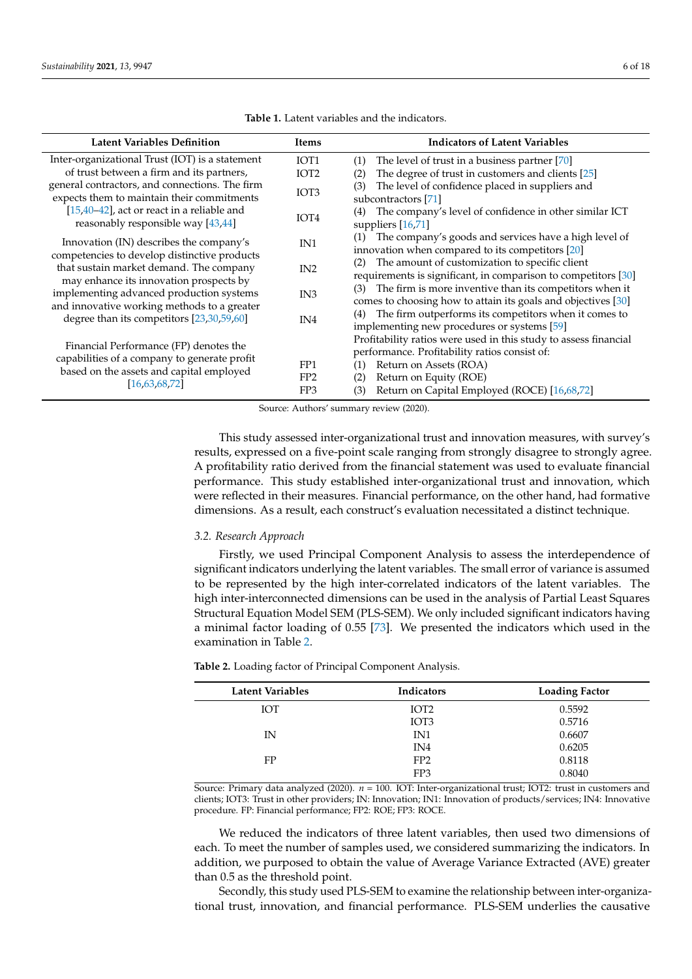<span id="page-5-0"></span>

| <b>Latent Variables Definition</b>                                                                                                                  | Items                                     | <b>Indicators of Latent Variables</b>                                                                                                                                                                                                      |
|-----------------------------------------------------------------------------------------------------------------------------------------------------|-------------------------------------------|--------------------------------------------------------------------------------------------------------------------------------------------------------------------------------------------------------------------------------------------|
| Inter-organizational Trust (IOT) is a statement                                                                                                     | IOT <sub>1</sub>                          | The level of trust in a business partner [70]<br>(1)                                                                                                                                                                                       |
| of trust between a firm and its partners,                                                                                                           | IOT <sub>2</sub>                          | The degree of trust in customers and clients [25]<br>(2)                                                                                                                                                                                   |
| general contractors, and connections. The firm<br>expects them to maintain their commitments                                                        | IOT <sub>3</sub>                          | The level of confidence placed in suppliers and<br>(3)<br>subcontractors [71]                                                                                                                                                              |
| $[15,40-42]$ , act or react in a reliable and<br>reasonably responsible way [43,44]                                                                 | IOT <sub>4</sub>                          | The company's level of confidence in other similar ICT<br>(4)<br>suppliers $[16,71]$                                                                                                                                                       |
| Innovation (IN) describes the company's                                                                                                             | IN <sub>1</sub>                           | The company's goods and services have a high level of<br>(1)<br>innovation when compared to its competitors [20]                                                                                                                           |
| competencies to develop distinctive products<br>that sustain market demand. The company                                                             | IN <sub>2</sub>                           | The amount of customization to specific client<br>(2)<br>requirements is significant, in comparison to competitors [30]                                                                                                                    |
| may enhance its innovation prospects by<br>implementing advanced production systems                                                                 | IN <sub>3</sub>                           | The firm is more inventive than its competitors when it<br>(3)<br>comes to choosing how to attain its goals and objectives [30]                                                                                                            |
| and innovative working methods to a greater<br>degree than its competitors [23,30,59,60]                                                            | IN <sub>4</sub>                           | The firm outperforms its competitors when it comes to<br>(4)<br>implementing new procedures or systems [59]                                                                                                                                |
| Financial Performance (FP) denotes the<br>capabilities of a company to generate profit<br>based on the assets and capital employed<br>[16,63,68,72] | FP <sub>1</sub><br>FP <sub>2</sub><br>FP3 | Profitability ratios were used in this study to assess financial<br>performance. Profitability ratios consist of:<br>Return on Assets (ROA)<br>(1)<br>Return on Equity (ROE)<br>(2)<br>Return on Capital Employed (ROCE) [16,68,72]<br>(3) |

**Table 1.** Latent variables and the indicators.

Source: Authors' summary review (2020).

This study assessed inter-organizational trust and innovation measures, with survey's results, expressed on a five-point scale ranging from strongly disagree to strongly agree. A profitability ratio derived from the financial statement was used to evaluate financial performance. This study established inter-organizational trust and innovation, which were reflected in their measures. Financial performance, on the other hand, had formative dimensions. As a result, each construct's evaluation necessitated a distinct technique.

### *3.2. Research Approach*

Firstly, we used Principal Component Analysis to assess the interdependence of significant indicators underlying the latent variables. The small error of variance is assumed to be represented by the high inter-correlated indicators of the latent variables. The high inter-interconnected dimensions can be used in the analysis of Partial Least Squares Structural Equation Model SEM (PLS-SEM). We only included significant indicators having a minimal factor loading of 0.55 [\[73\]](#page-16-14). We presented the indicators which used in the examination in Table [2.](#page-5-1)

| Latent Variables | Indicators       | <b>Loading Factor</b> |
|------------------|------------------|-----------------------|
| <b>IOT</b>       | IOT <sub>2</sub> | 0.5592                |
|                  | IOT <sub>3</sub> | 0.5716                |
| IN               | IN1              | 0.6607                |
|                  | IN4              | 0.6205                |
| FP               | FP <sub>2</sub>  | 0.8118                |
|                  | FP3              | 0.8040                |

<span id="page-5-1"></span>**Table 2.** Loading factor of Principal Component Analysis.

Source: Primary data analyzed (2020). *n* = 100. IOT: Inter-organizational trust; IOT2: trust in customers and clients; IOT3: Trust in other providers; IN: Innovation; IN1: Innovation of products/services; IN4: Innovative procedure. FP: Financial performance; FP2: ROE; FP3: ROCE.

We reduced the indicators of three latent variables, then used two dimensions of each. To meet the number of samples used, we considered summarizing the indicators. In addition, we purposed to obtain the value of Average Variance Extracted (AVE) greater than 0.5 as the threshold point.

Secondly, this study used PLS-SEM to examine the relationship between inter-organizational trust, innovation, and financial performance. PLS-SEM underlies the causative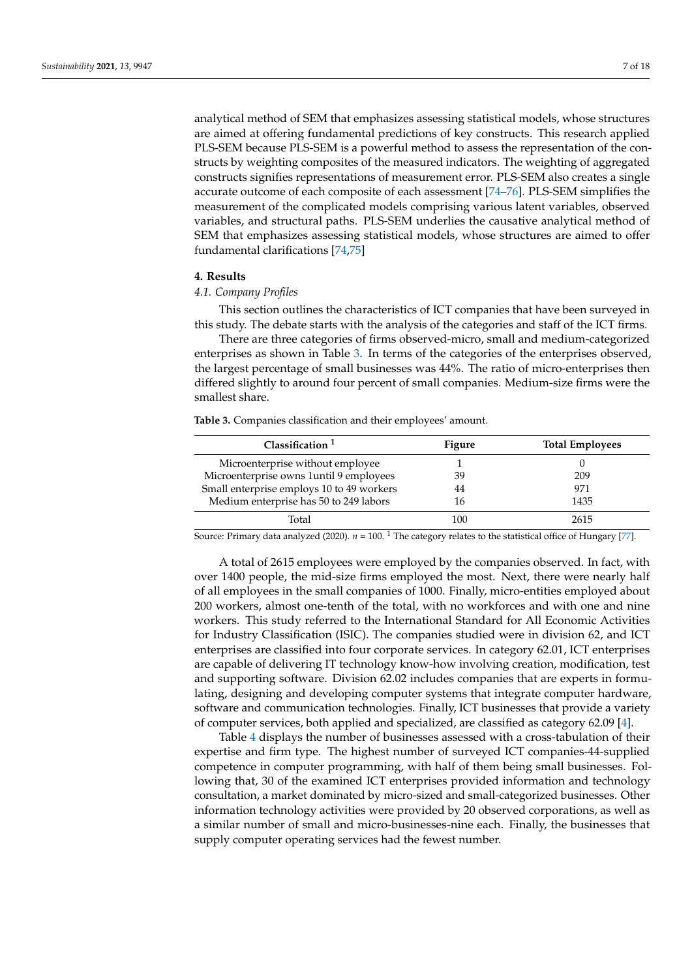analytical method of SEM that emphasizes assessing statistical models, whose structures are aimed at offering fundamental predictions of key constructs. This research applied PLS-SEM because PLS-SEM is a powerful method to assess the representation of the constructs by weighting composites of the measured indicators. The weighting of aggregated constructs signifies representations of measurement error. PLS-SEM also creates a single accurate outcome of each composite of each assessment [\[74–](#page-16-15)[76\]](#page-16-16). PLS-SEM simplifies the measurement of the complicated models comprising various latent variables, observed variables, and structural paths. PLS-SEM underlies the causative analytical method of SEM that emphasizes assessing statistical models, whose structures are aimed to offer fundamental clarifications [\[74](#page-16-15)[,75\]](#page-16-17)

### **4. Results**

### *4.1. Company Profiles*

This section outlines the characteristics of ICT companies that have been surveyed in this study. The debate starts with the analysis of the categories and staff of the ICT firms.

There are three categories of firms observed-micro, small and medium-categorized enterprises as shown in Table [3.](#page-6-0) In terms of the categories of the enterprises observed, the largest percentage of small businesses was 44%. The ratio of micro-enterprises then differed slightly to around four percent of small companies. Medium-size firms were the smallest share.

<span id="page-6-0"></span>**Table 3.** Companies classification and their employees' amount.

| Classification <sup>1</sup>               | Figure | <b>Total Employees</b> |
|-------------------------------------------|--------|------------------------|
| Microenterprise without employee          |        |                        |
| Microenterprise owns 1until 9 employees   | 39     | 209                    |
| Small enterprise employs 10 to 49 workers | 44     | 971                    |
| Medium enterprise has 50 to 249 labors    | 16     | 1435                   |
| Total                                     | 100    | 2615                   |

Source: Primary data analyzed (2020).  $n = 100$ . <sup>1</sup> The category relates to the statistical office of Hungary [\[77\]](#page-16-18).

A total of 2615 employees were employed by the companies observed. In fact, with over 1400 people, the mid-size firms employed the most. Next, there were nearly half of all employees in the small companies of 1000. Finally, micro-entities employed about 200 workers, almost one-tenth of the total, with no workforces and with one and nine workers. This study referred to the International Standard for All Economic Activities for Industry Classification (ISIC). The companies studied were in division 62, and ICT enterprises are classified into four corporate services. In category 62.01, ICT enterprises are capable of delivering IT technology know-how involving creation, modification, test and supporting software. Division 62.02 includes companies that are experts in formulating, designing and developing computer systems that integrate computer hardware, software and communication technologies. Finally, ICT businesses that provide a variety of computer services, both applied and specialized, are classified as category 62.09 [\[4\]](#page-14-3).

Table [4](#page-7-0) displays the number of businesses assessed with a cross-tabulation of their expertise and firm type. The highest number of surveyed ICT companies-44-supplied competence in computer programming, with half of them being small businesses. Following that, 30 of the examined ICT enterprises provided information and technology consultation, a market dominated by micro-sized and small-categorized businesses. Other information technology activities were provided by 20 observed corporations, as well as a similar number of small and micro-businesses-nine each. Finally, the businesses that supply computer operating services had the fewest number.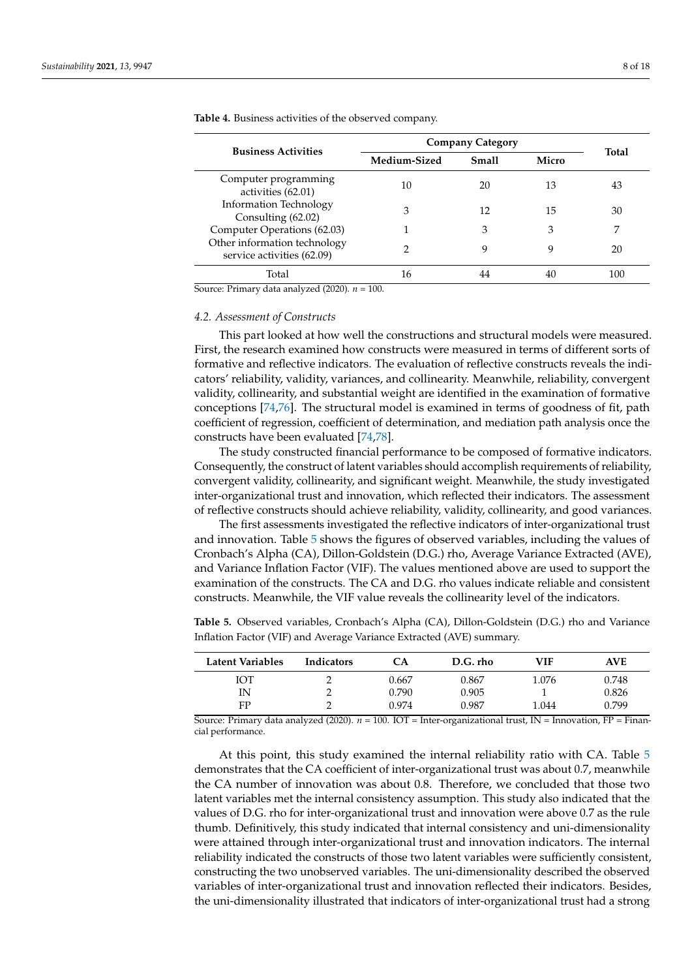| <b>Business Activities</b>                                 | <b>Company Category</b> | <b>Total</b> |       |     |
|------------------------------------------------------------|-------------------------|--------------|-------|-----|
|                                                            | Medium-Sized            | <b>Small</b> | Micro |     |
| Computer programming<br>activities (62.01)                 | 10                      | 20           | 13    | 43  |
| <b>Information Technology</b><br>Consulting (62.02)        | 3                       | 12           | 15    | 30  |
| Computer Operations (62.03)                                |                         | 3            | 3     |     |
| Other information technology<br>service activities (62.09) | 2                       | q            | 9     | 20  |
| Total                                                      | 16                      |              | 40    | 100 |

<span id="page-7-0"></span>**Table 4.** Business activities of the observed company.

Source: Primary data analyzed (2020). *n* = 100.

### *4.2. Assessment of Constructs*

This part looked at how well the constructions and structural models were measured. First, the research examined how constructs were measured in terms of different sorts of formative and reflective indicators. The evaluation of reflective constructs reveals the indicators' reliability, validity, variances, and collinearity. Meanwhile, reliability, convergent validity, collinearity, and substantial weight are identified in the examination of formative conceptions [\[74,](#page-16-15)[76\]](#page-16-16). The structural model is examined in terms of goodness of fit, path coefficient of regression, coefficient of determination, and mediation path analysis once the constructs have been evaluated [\[74](#page-16-15)[,78\]](#page-16-19).

The study constructed financial performance to be composed of formative indicators. Consequently, the construct of latent variables should accomplish requirements of reliability, convergent validity, collinearity, and significant weight. Meanwhile, the study investigated inter-organizational trust and innovation, which reflected their indicators. The assessment of reflective constructs should achieve reliability, validity, collinearity, and good variances.

The first assessments investigated the reflective indicators of inter-organizational trust and innovation. Table [5](#page-7-1) shows the figures of observed variables, including the values of Cronbach's Alpha (CA), Dillon-Goldstein (D.G.) rho, Average Variance Extracted (AVE), and Variance Inflation Factor (VIF). The values mentioned above are used to support the examination of the constructs. The CA and D.G. rho values indicate reliable and consistent constructs. Meanwhile, the VIF value reveals the collinearity level of the indicators.

<span id="page-7-1"></span>**Table 5.** Observed variables, Cronbach's Alpha (CA), Dillon-Goldstein (D.G.) rho and Variance Inflation Factor (VIF) and Average Variance Extracted (AVE) summary.

| Latent Variables | <b>Indicators</b> | CА    | D.G. rho | VIF   | <b>AVE</b> |
|------------------|-------------------|-------|----------|-------|------------|
| ЮТ               |                   | 0.667 | 0.867    | 1.076 | 0.748      |
| IN               |                   | 0.790 | 0.905    |       | 0.826      |
| FP               |                   | 0.974 | 0.987    | 1.044 | 0.799      |

Source: Primary data analyzed (2020). *n* = 100. IOT = Inter-organizational trust, IN = Innovation, FP = Financial performance.

At this point, this study examined the internal reliability ratio with CA. Table [5](#page-7-1) demonstrates that the CA coefficient of inter-organizational trust was about 0.7, meanwhile the CA number of innovation was about 0.8. Therefore, we concluded that those two latent variables met the internal consistency assumption. This study also indicated that the values of D.G. rho for inter-organizational trust and innovation were above 0.7 as the rule thumb. Definitively, this study indicated that internal consistency and uni-dimensionality were attained through inter-organizational trust and innovation indicators. The internal reliability indicated the constructs of those two latent variables were sufficiently consistent, constructing the two unobserved variables. The uni-dimensionality described the observed variables of inter-organizational trust and innovation reflected their indicators. Besides, the uni-dimensionality illustrated that indicators of inter-organizational trust had a strong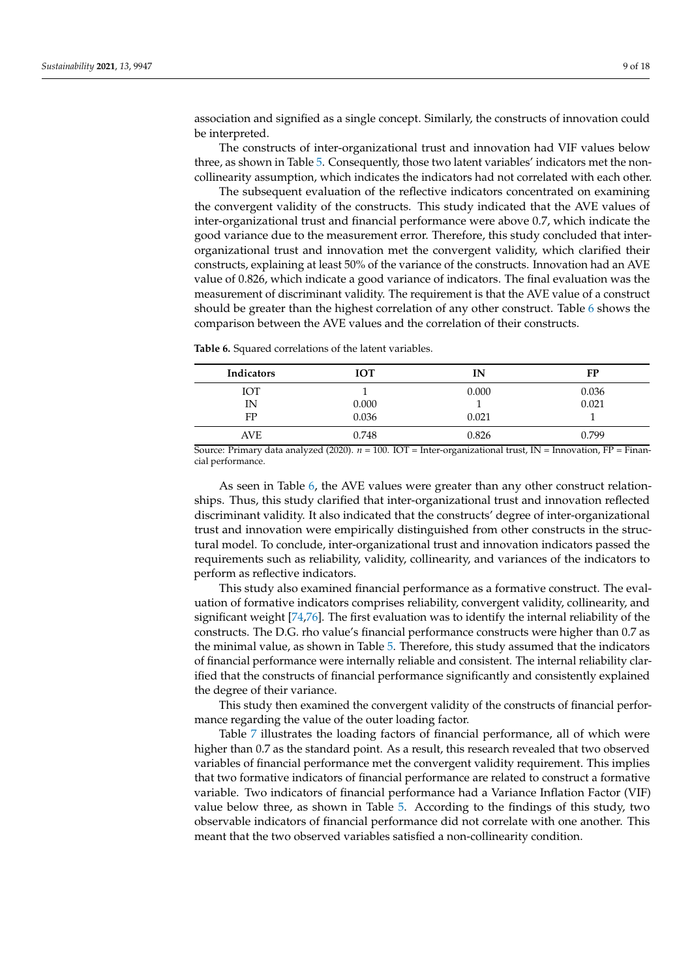association and signified as a single concept. Similarly, the constructs of innovation could be interpreted.

The constructs of inter-organizational trust and innovation had VIF values below three, as shown in Table [5.](#page-7-1) Consequently, those two latent variables' indicators met the noncollinearity assumption, which indicates the indicators had not correlated with each other.

The subsequent evaluation of the reflective indicators concentrated on examining the convergent validity of the constructs. This study indicated that the AVE values of inter-organizational trust and financial performance were above 0.7, which indicate the good variance due to the measurement error. Therefore, this study concluded that interorganizational trust and innovation met the convergent validity, which clarified their constructs, explaining at least 50% of the variance of the constructs. Innovation had an AVE value of 0.826, which indicate a good variance of indicators. The final evaluation was the measurement of discriminant validity. The requirement is that the AVE value of a construct should be greater than the highest correlation of any other construct. Table [6](#page-8-0) shows the comparison between the AVE values and the correlation of their constructs.

| Indicators | <b>IOT</b> | IΝ    | FP    |
|------------|------------|-------|-------|
| ЮT         |            | 0.000 | 0.036 |
| IN         | 0.000      |       | 0.021 |
| FP         | 0.036      | 0.021 |       |
| AVE        | 0.748      | 0.826 | 0.799 |

<span id="page-8-0"></span>**Table 6.** Squared correlations of the latent variables.

Source: Primary data analyzed (2020). *n* = 100. IOT = Inter-organizational trust, IN = Innovation, FP = Financial performance.

As seen in Table [6,](#page-8-0) the AVE values were greater than any other construct relationships. Thus, this study clarified that inter-organizational trust and innovation reflected discriminant validity. It also indicated that the constructs' degree of inter-organizational trust and innovation were empirically distinguished from other constructs in the structural model. To conclude, inter-organizational trust and innovation indicators passed the requirements such as reliability, validity, collinearity, and variances of the indicators to perform as reflective indicators.

This study also examined financial performance as a formative construct. The evaluation of formative indicators comprises reliability, convergent validity, collinearity, and significant weight [\[74,](#page-16-15)[76\]](#page-16-16). The first evaluation was to identify the internal reliability of the constructs. The D.G. rho value's financial performance constructs were higher than 0.7 as the minimal value, as shown in Table [5.](#page-7-1) Therefore, this study assumed that the indicators of financial performance were internally reliable and consistent. The internal reliability clarified that the constructs of financial performance significantly and consistently explained the degree of their variance.

This study then examined the convergent validity of the constructs of financial performance regarding the value of the outer loading factor.

Table [7](#page-9-0) illustrates the loading factors of financial performance, all of which were higher than 0.7 as the standard point. As a result, this research revealed that two observed variables of financial performance met the convergent validity requirement. This implies that two formative indicators of financial performance are related to construct a formative variable. Two indicators of financial performance had a Variance Inflation Factor (VIF) value below three, as shown in Table [5.](#page-7-1) According to the findings of this study, two observable indicators of financial performance did not correlate with one another. This meant that the two observed variables satisfied a non-collinearity condition.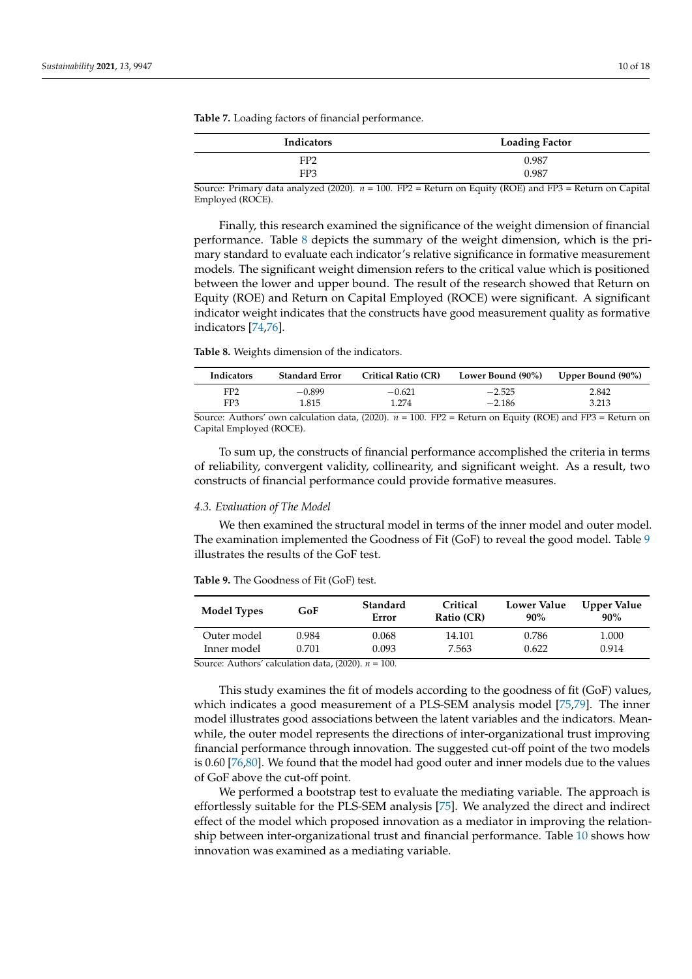| <b>Indicators</b> | <b>Loading Factor</b> |
|-------------------|-----------------------|
| FP <sub>2</sub>   | 0.987                 |
| FP3               | 0.987                 |

<span id="page-9-0"></span>**Table 7.** Loading factors of financial performance.

Source: Primary data analyzed (2020). *n* = 100. FP2 = Return on Equity (ROE) and FP3 = Return on Capital Employed (ROCE).

Finally, this research examined the significance of the weight dimension of financial performance. Table [8](#page-9-1) depicts the summary of the weight dimension, which is the primary standard to evaluate each indicator's relative significance in formative measurement models. The significant weight dimension refers to the critical value which is positioned between the lower and upper bound. The result of the research showed that Return on Equity (ROE) and Return on Capital Employed (ROCE) were significant. A significant indicator weight indicates that the constructs have good measurement quality as formative indicators [\[74](#page-16-15)[,76\]](#page-16-16).

<span id="page-9-1"></span>**Table 8.** Weights dimension of the indicators.

| Indicators      | <b>Standard Error</b> | <b>Critical Ratio (CR)</b> | Lower Bound (90%)                                                                         | Upper Bound (90%)             |
|-----------------|-----------------------|----------------------------|-------------------------------------------------------------------------------------------|-------------------------------|
| FP <sub>2</sub> | $-0.899$              | $-0.621$                   | $-2.525$                                                                                  | 2.842                         |
| FP <sub>3</sub> | 1.815                 | 1.274                      | $-2.186$                                                                                  | 3.213                         |
|                 |                       |                            | $C = A \cdot 1$ $I = 1 \cdot 1$ $(0.000)$ $(100 \text{ FDA} - B)$ $(100 \text{ FDA} - 1)$ | $\mathbf{D}$ and $\mathbf{D}$ |

Source: Authors' own calculation data, (2020). *n* = 100. FP2 = Return on Equity (ROE) and FP3 = Return on Capital Employed (ROCE).

To sum up, the constructs of financial performance accomplished the criteria in terms of reliability, convergent validity, collinearity, and significant weight. As a result, two constructs of financial performance could provide formative measures.

### *4.3. Evaluation of The Model*

We then examined the structural model in terms of the inner model and outer model. The examination implemented the Goodness of Fit (GoF) to reveal the good model. Table [9](#page-9-2) illustrates the results of the GoF test.

<span id="page-9-2"></span>**Table 9.** The Goodness of Fit (GoF) test.

| <b>Model Types</b>                           | Standard<br>GoF<br>Error |       | Critical<br>Ratio (CR) | <b>Lower Value</b><br>90% | Upper Value<br>90% |  |
|----------------------------------------------|--------------------------|-------|------------------------|---------------------------|--------------------|--|
| Outer model                                  | 0.984                    | 0.068 | 14.101                 | 0.786                     | 1.000              |  |
| Inner model                                  | 0.701                    | 0.093 | 7.563                  | 0.622                     | 0.914              |  |
| $C = 1.1$ $1.1$ $1.1$ $1.1$ $(0.000)$ $1.00$ |                          |       |                        |                           |                    |  |

Source: Authors' calculation data, (2020). *n* = 100.

This study examines the fit of models according to the goodness of fit (GoF) values, which indicates a good measurement of a PLS-SEM analysis model [\[75](#page-16-17)[,79\]](#page-16-20). The inner model illustrates good associations between the latent variables and the indicators. Meanwhile, the outer model represents the directions of inter-organizational trust improving financial performance through innovation. The suggested cut-off point of the two models is 0.60 [\[76,](#page-16-16)[80\]](#page-16-21). We found that the model had good outer and inner models due to the values of GoF above the cut-off point.

We performed a bootstrap test to evaluate the mediating variable. The approach is effortlessly suitable for the PLS-SEM analysis [\[75\]](#page-16-17). We analyzed the direct and indirect effect of the model which proposed innovation as a mediator in improving the relationship between inter-organizational trust and financial performance. Table [10](#page-10-0) shows how innovation was examined as a mediating variable.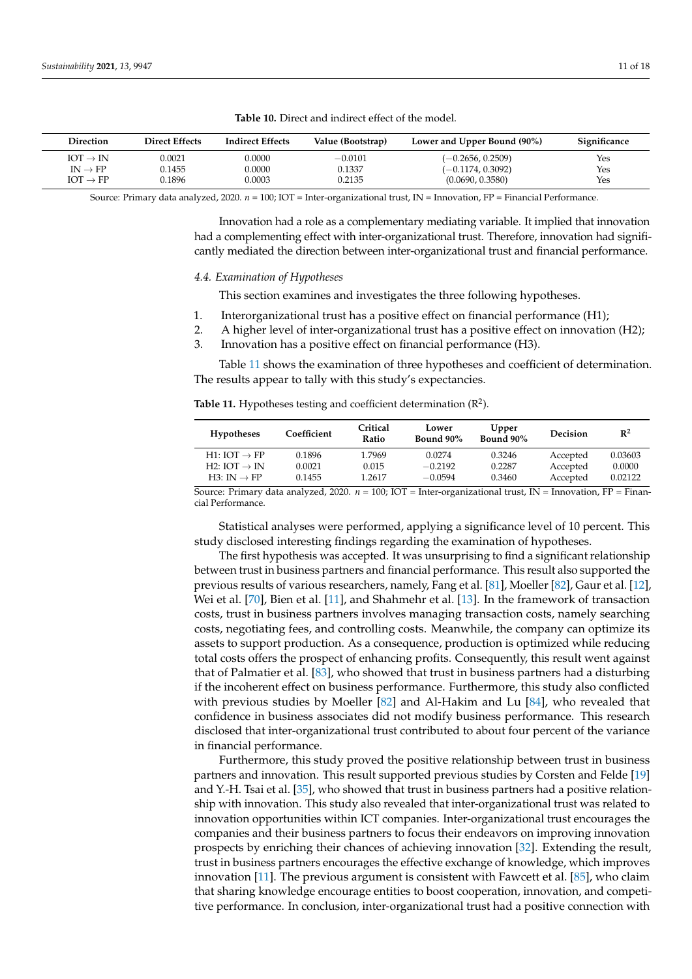<span id="page-10-0"></span>

| Direction            | <b>Direct Effects</b> | <b>Indirect Effects</b> | Value (Bootstrap) | Lower and Upper Bound (90%) | Significance |
|----------------------|-----------------------|-------------------------|-------------------|-----------------------------|--------------|
| $IOT \rightarrow IN$ | 0.0021                | 0.0000                  | $-0.0101$         | $(-0.2656, 0.2509)$         | Yes          |
| $IN \rightarrow FP$  | 0.1455                | 0.0000                  | 0.1337            | $(-0.1174, 0.3092)$         | Yes          |
| $IOT \rightarrow FP$ | 0.1896                | 0.0003                  | 0.2135            | (0.0690, 0.3580)            | Yes          |

**Table 10.** Direct and indirect effect of the model.

Source: Primary data analyzed, 2020. *n* = 100; IOT = Inter-organizational trust, IN = Innovation, FP = Financial Performance.

Innovation had a role as a complementary mediating variable. It implied that innovation had a complementing effect with inter-organizational trust. Therefore, innovation had significantly mediated the direction between inter-organizational trust and financial performance.

#### *4.4. Examination of Hypotheses*

This section examines and investigates the three following hypotheses.

- 1. Interorganizational trust has a positive effect on financial performance (H1);
- 2. A higher level of inter-organizational trust has a positive effect on innovation (H2);
- 3. Innovation has a positive effect on financial performance (H3).

Table [11](#page-10-1) shows the examination of three hypotheses and coefficient of determination. The results appear to tally with this study's expectancies.

<span id="page-10-1"></span>

| Table 11. Hypotheses testing and coefficient determination $(R^2)$ . |  |  |  |  |  |
|----------------------------------------------------------------------|--|--|--|--|--|
|----------------------------------------------------------------------|--|--|--|--|--|

| <b>Hypotheses</b>        | Coefficient | Critical<br>Ratio | Lower<br>Bound 90% | Upper<br>Bound 90% | <b>Decision</b> | $R^2$   |
|--------------------------|-------------|-------------------|--------------------|--------------------|-----------------|---------|
| $H1: IOT \rightarrow FP$ | 0.1896      | 1.7969            | 0.0274             | 0.3246             | Accepted        | 0.03603 |
| $H2: IOT \rightarrow IN$ | 0.0021      | 0.015             | $-0.2192$          | 0.2287             | Accepted        | 0.0000  |
| $H3: IN \rightarrow FP$  | 0.1455      | 1.2617            | $-0.0594$          | 0.3460             | Accepted        | 0.02122 |

Source: Primary data analyzed, 2020. *n* = 100; IOT = Inter-organizational trust, IN = Innovation, FP = Financial Performance.

Statistical analyses were performed, applying a significance level of 10 percent. This study disclosed interesting findings regarding the examination of hypotheses.

The first hypothesis was accepted. It was unsurprising to find a significant relationship between trust in business partners and financial performance. This result also supported the previous results of various researchers, namely, Fang et al. [\[81\]](#page-16-22), Moeller [\[82\]](#page-16-23), Gaur et al. [\[12\]](#page-14-21), Wei et al. [\[70\]](#page-16-10), Bien et al. [\[11\]](#page-14-10), and Shahmehr et al. [\[13\]](#page-14-24). In the framework of transaction costs, trust in business partners involves managing transaction costs, namely searching costs, negotiating fees, and controlling costs. Meanwhile, the company can optimize its assets to support production. As a consequence, production is optimized while reducing total costs offers the prospect of enhancing profits. Consequently, this result went against that of Palmatier et al. [\[83\]](#page-16-24), who showed that trust in business partners had a disturbing if the incoherent effect on business performance. Furthermore, this study also conflicted with previous studies by Moeller [\[82\]](#page-16-23) and Al-Hakim and Lu [\[84\]](#page-16-25), who revealed that confidence in business associates did not modify business performance. This research disclosed that inter-organizational trust contributed to about four percent of the variance in financial performance.

Furthermore, this study proved the positive relationship between trust in business partners and innovation. This result supported previous studies by Corsten and Felde [\[19\]](#page-14-15) and Y.-H. Tsai et al. [\[35\]](#page-15-8), who showed that trust in business partners had a positive relationship with innovation. This study also revealed that inter-organizational trust was related to innovation opportunities within ICT companies. Inter-organizational trust encourages the companies and their business partners to focus their endeavors on improving innovation prospects by enriching their chances of achieving innovation [\[32\]](#page-15-5). Extending the result, trust in business partners encourages the effective exchange of knowledge, which improves innovation [\[11\]](#page-14-10). The previous argument is consistent with Fawcett et al. [\[85\]](#page-16-26), who claim that sharing knowledge encourage entities to boost cooperation, innovation, and competitive performance. In conclusion, inter-organizational trust had a positive connection with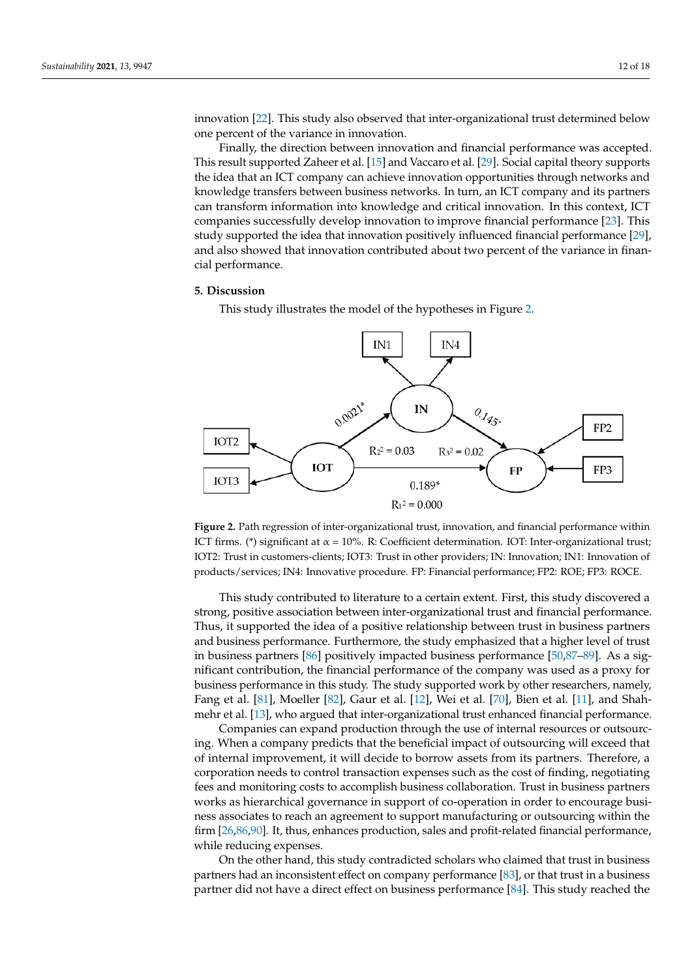innovation [\[22\]](#page-14-16). This study also observed that inter-organizational trust determined below one percent of the variance in innovation.

Finally, the direction between innovation and financial performance was accepted. This result supported Zaheer et al. [\[15\]](#page-14-11) and Vaccaro et al. [\[29\]](#page-15-2). Social capital theory supports the idea that an ICT company can achieve innovation opportunities through networks and knowledge transfers between business networks. In turn, an ICT company and its partners can transform information into knowledge and critical innovation. In this context, ICT companies successfully develop innovation to improve financial performance [\[23\]](#page-14-17). This study supported the idea that innovation positively influenced financial performance [\[29\]](#page-15-2), and also showed that innovation contributed about two percent of the variance in financial performance.

#### **5. Discussion** *S.* **Discussion**

This study illustrates the model of the hypotheses in Figure [2.](#page-11-0)

<span id="page-11-0"></span>

ICT firms. (\*) significant at α = 10%. R: Coefficient determination. IOT: Inter-organizational trust; IOT2: Trust in customers-clients; IOT3: Trust in other providers; IN: Innovation; IN1: Innovation of products/services: IN4: Innovative procedure, EP: Enancial performance: EP2: ROE: EP3: ROCE products/services; IN4: Innovative procedure. FP: Financial performance; FP2: ROE; FP3: ROCE. products/services; IN4: Innovative procedure. FP: Financial performance; FP2: ROE; FP3: ROCE. **Figure 2.** Path regression of inter-organizational trust, innovation, and financial performance within

strong, positive association between inter-organizational trust and financial performance. Thus, it supported the idea of a positive relationship between trust in business partners and business performance. Furthermore, the study emphasized that a higher level of trust in business partners [86] positively impacted business performance [50,87-89]. As a significant contribution, the financial performance of the company was used as a proxy for business performance in this study. The study supported work by other researchers, namely, Fang et al. [\[81\]](#page-16-22), Moeller [82], Gaur et al. [12], Wei et al. [70], Bien et al. [11], and Shah-mehr et al. [\[13\]](#page-14-24), who argued that inter-organizational trust enhanced financial performance. This study contributed to literature to a certain extent. First, this study discovered a

Companies can expand production through the use of internal resources or outsourcing. When a company predicts that the beneficial impact of outsourcing will exceed that of internal improvement, it will decide to borrow assets from its partners. Therefore, a corporation needs to control transaction expenses such as the cost of finding, negotiating fees and monitoring costs to accomplish business collaboration. Trust in business partners works as hierarchical governance in support of co-operation in order to encourage business associates to reach an agreement to support manufacturing or outsourcing within the firm [\[26](#page-14-20)[,86](#page-16-27)[,90\]](#page-16-30). It, thus, enhances production, sales and profit-related financial performance, while reducing expenses.

On the other hand, this study contradicted scholars who claimed that trust in business partners had an inconsistent effect on company performance  $[83]$ , or that trust in a business partner did not have a direct effect on business performance  $[84]$ . This study reached the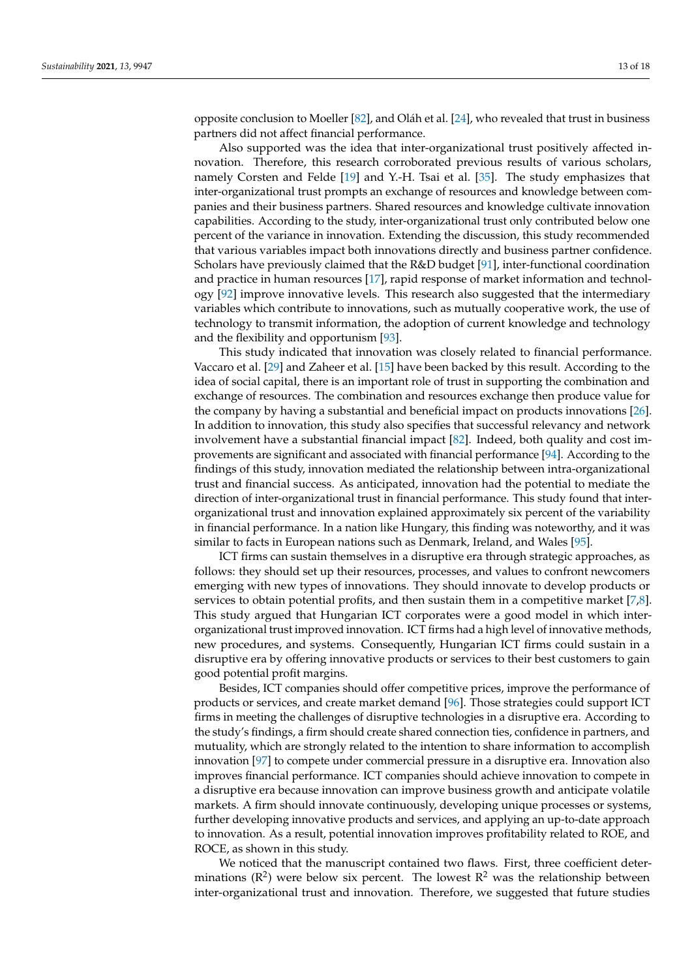opposite conclusion to Moeller [\[82\]](#page-16-23), and Oláh et al. [\[24\]](#page-14-18), who revealed that trust in business partners did not affect financial performance.

Also supported was the idea that inter-organizational trust positively affected innovation. Therefore, this research corroborated previous results of various scholars, namely Corsten and Felde [\[19\]](#page-14-15) and Y.-H. Tsai et al. [\[35\]](#page-15-8). The study emphasizes that inter-organizational trust prompts an exchange of resources and knowledge between companies and their business partners. Shared resources and knowledge cultivate innovation capabilities. According to the study, inter-organizational trust only contributed below one percent of the variance in innovation. Extending the discussion, this study recommended that various variables impact both innovations directly and business partner confidence. Scholars have previously claimed that the R&D budget [\[91\]](#page-16-31), inter-functional coordination and practice in human resources [\[17\]](#page-14-13), rapid response of market information and technology [\[92\]](#page-17-0) improve innovative levels. This research also suggested that the intermediary variables which contribute to innovations, such as mutually cooperative work, the use of technology to transmit information, the adoption of current knowledge and technology and the flexibility and opportunism [\[93\]](#page-17-1).

This study indicated that innovation was closely related to financial performance. Vaccaro et al. [\[29\]](#page-15-2) and Zaheer et al. [\[15\]](#page-14-11) have been backed by this result. According to the idea of social capital, there is an important role of trust in supporting the combination and exchange of resources. The combination and resources exchange then produce value for the company by having a substantial and beneficial impact on products innovations [\[26\]](#page-14-20). In addition to innovation, this study also specifies that successful relevancy and network involvement have a substantial financial impact [\[82\]](#page-16-23). Indeed, both quality and cost improvements are significant and associated with financial performance [\[94\]](#page-17-2). According to the findings of this study, innovation mediated the relationship between intra-organizational trust and financial success. As anticipated, innovation had the potential to mediate the direction of inter-organizational trust in financial performance. This study found that interorganizational trust and innovation explained approximately six percent of the variability in financial performance. In a nation like Hungary, this finding was noteworthy, and it was similar to facts in European nations such as Denmark, Ireland, and Wales [\[95\]](#page-17-3).

ICT firms can sustain themselves in a disruptive era through strategic approaches, as follows: they should set up their resources, processes, and values to confront newcomers emerging with new types of innovations. They should innovate to develop products or services to obtain potential profits, and then sustain them in a competitive market [\[7,](#page-14-6)[8\]](#page-14-7). This study argued that Hungarian ICT corporates were a good model in which interorganizational trust improved innovation. ICT firms had a high level of innovative methods, new procedures, and systems. Consequently, Hungarian ICT firms could sustain in a disruptive era by offering innovative products or services to their best customers to gain good potential profit margins.

Besides, ICT companies should offer competitive prices, improve the performance of products or services, and create market demand [\[96\]](#page-17-4). Those strategies could support ICT firms in meeting the challenges of disruptive technologies in a disruptive era. According to the study's findings, a firm should create shared connection ties, confidence in partners, and mutuality, which are strongly related to the intention to share information to accomplish innovation [\[97\]](#page-17-5) to compete under commercial pressure in a disruptive era. Innovation also improves financial performance. ICT companies should achieve innovation to compete in a disruptive era because innovation can improve business growth and anticipate volatile markets. A firm should innovate continuously, developing unique processes or systems, further developing innovative products and services, and applying an up-to-date approach to innovation. As a result, potential innovation improves profitability related to ROE, and ROCE, as shown in this study.

We noticed that the manuscript contained two flaws. First, three coefficient determinations ( $\mathbb{R}^2$ ) were below six percent. The lowest  $\mathbb{R}^2$  was the relationship between inter-organizational trust and innovation. Therefore, we suggested that future studies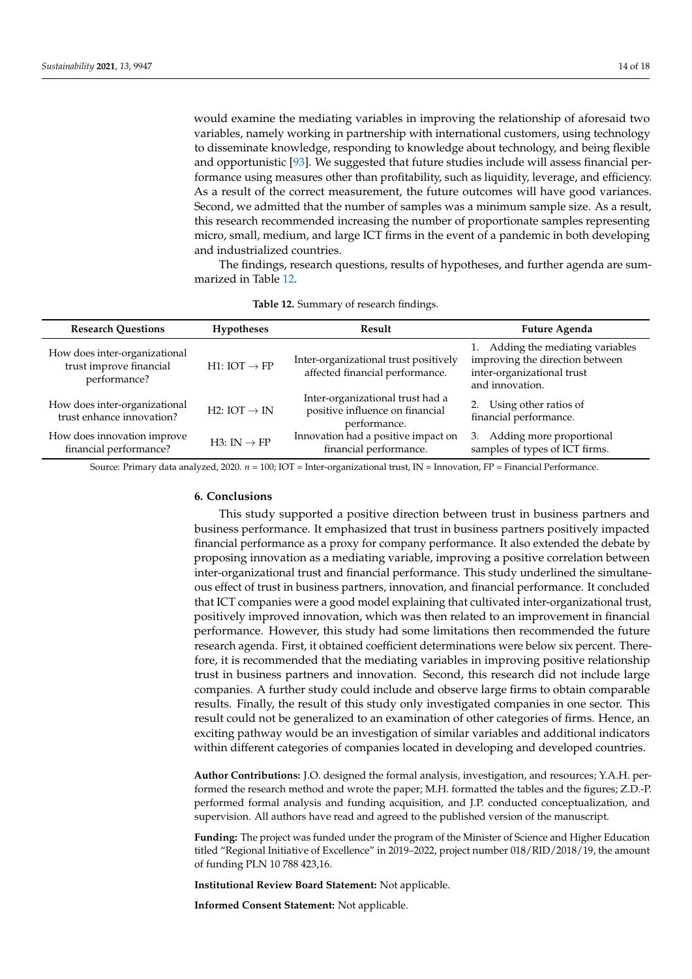would examine the mediating variables in improving the relationship of aforesaid two variables, namely working in partnership with international customers, using technology to disseminate knowledge, responding to knowledge about technology, and being flexible and opportunistic [\[93\]](#page-17-1). We suggested that future studies include will assess financial performance using measures other than profitability, such as liquidity, leverage, and efficiency. As a result of the correct measurement, the future outcomes will have good variances. Second, we admitted that the number of samples was a minimum sample size. As a result, this research recommended increasing the number of proportionate samples representing micro, small, medium, and large ICT firms in the event of a pandemic in both developing and industrialized countries.

The findings, research questions, results of hypotheses, and further agenda are summarized in Table [12.](#page-13-0)

<span id="page-13-0"></span>

| <b>Research Questions</b>                                                | <b>Hypotheses</b>        | Result                                                                              | Future Agenda                                                                                                         |
|--------------------------------------------------------------------------|--------------------------|-------------------------------------------------------------------------------------|-----------------------------------------------------------------------------------------------------------------------|
| How does inter-organizational<br>trust improve financial<br>performance? | $H1: IOT \rightarrow FP$ | Inter-organizational trust positively<br>affected financial performance.            | 1. Adding the mediating variables<br>improving the direction between<br>inter-organizational trust<br>and innovation. |
| How does inter-organizational<br>trust enhance innovation?               | H2: IOT $\rightarrow$ IN | Inter-organizational trust had a<br>positive influence on financial<br>performance. | Using other ratios of<br>2.<br>financial performance.                                                                 |
| How does innovation improve<br>financial performance?                    | $H3: IN \rightarrow FP$  | Innovation had a positive impact on<br>financial performance.                       | 3. Adding more proportional<br>samples of types of ICT firms.                                                         |

|  |  | Table 12. Summary of research findings. |  |
|--|--|-----------------------------------------|--|
|--|--|-----------------------------------------|--|

Source: Primary data analyzed, 2020. *n* = 100; IOT = Inter-organizational trust, IN = Innovation, FP = Financial Performance.

### **6. Conclusions**

This study supported a positive direction between trust in business partners and business performance. It emphasized that trust in business partners positively impacted financial performance as a proxy for company performance. It also extended the debate by proposing innovation as a mediating variable, improving a positive correlation between inter-organizational trust and financial performance. This study underlined the simultaneous effect of trust in business partners, innovation, and financial performance. It concluded that ICT companies were a good model explaining that cultivated inter-organizational trust, positively improved innovation, which was then related to an improvement in financial performance. However, this study had some limitations then recommended the future research agenda. First, it obtained coefficient determinations were below six percent. Therefore, it is recommended that the mediating variables in improving positive relationship trust in business partners and innovation. Second, this research did not include large companies. A further study could include and observe large firms to obtain comparable results. Finally, the result of this study only investigated companies in one sector. This result could not be generalized to an examination of other categories of firms. Hence, an exciting pathway would be an investigation of similar variables and additional indicators within different categories of companies located in developing and developed countries.

**Author Contributions:** J.O. designed the formal analysis, investigation, and resources; Y.A.H. performed the research method and wrote the paper; M.H. formatted the tables and the figures; Z.D.-P. performed formal analysis and funding acquisition, and J.P. conducted conceptualization, and supervision. All authors have read and agreed to the published version of the manuscript.

**Funding:** The project was funded under the program of the Minister of Science and Higher Education titled "Regional Initiative of Excellence" in 2019–2022, project number 018/RID/2018/19, the amount of funding PLN 10 788 423,16.

**Institutional Review Board Statement:** Not applicable.

**Informed Consent Statement:** Not applicable.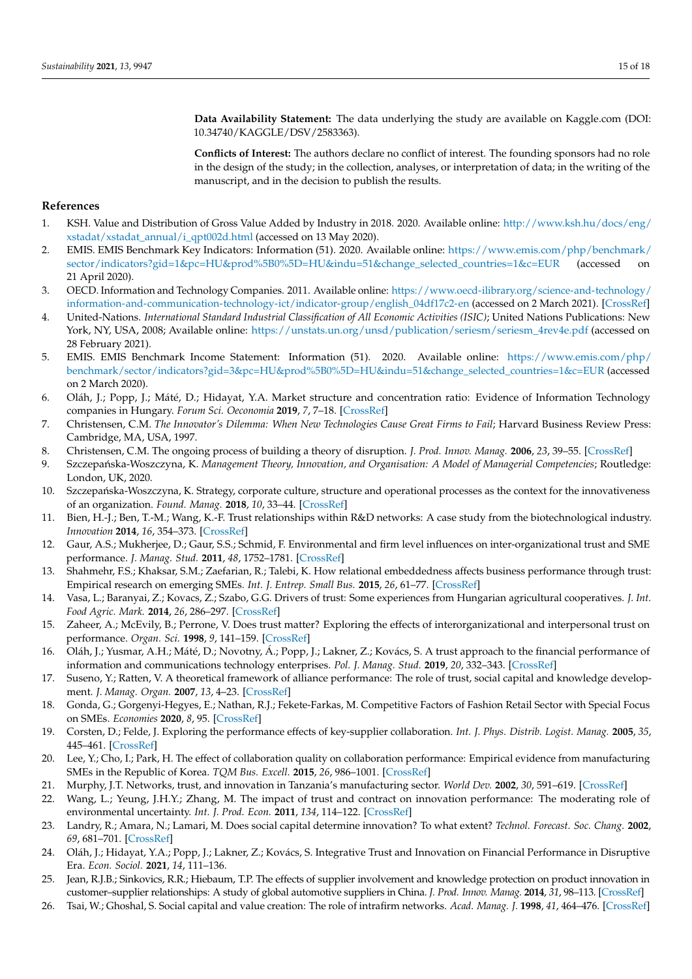**Data Availability Statement:** The data underlying the study are available on Kaggle.com (DOI: 10.34740/KAGGLE/DSV/2583363).

**Conflicts of Interest:** The authors declare no conflict of interest. The founding sponsors had no role in the design of the study; in the collection, analyses, or interpretation of data; in the writing of the manuscript, and in the decision to publish the results.

### **References**

- <span id="page-14-0"></span>1. KSH. Value and Distribution of Gross Value Added by Industry in 2018. 2020. Available online: [http://www.ksh.hu/docs/eng/](http://www.ksh.hu/docs/eng/xstadat/xstadat_annual/i_qpt002d.html) [xstadat/xstadat\\_annual/i\\_qpt002d.html](http://www.ksh.hu/docs/eng/xstadat/xstadat_annual/i_qpt002d.html) (accessed on 13 May 2020).
- <span id="page-14-1"></span>2. EMIS. EMIS Benchmark Key Indicators: Information (51). 2020. Available online: [https://www.emis.com/php/benchmark/](https://www.emis.com/php/benchmark/sector/indicators?gid=1&pc=HU&prod%5B0%5D=HU&indu=51&change_selected_countries=1&c=EUR) [sector/indicators?gid=1&pc=HU&prod%5B0%5D=HU&indu=51&change\\_selected\\_countries=1&c=EUR](https://www.emis.com/php/benchmark/sector/indicators?gid=1&pc=HU&prod%5B0%5D=HU&indu=51&change_selected_countries=1&c=EUR) (accessed 21 April 2020).
- <span id="page-14-2"></span>3. OECD. Information and Technology Companies. 2011. Available online: [https://www.oecd-ilibrary.org/science-and-technology/](https://www.oecd-ilibrary.org/science-and-technology/information-and-communication-technology-ict/indicator-group/english_04df17c2-en) [information-and-communication-technology-ict/indicator-group/english\\_04df17c2-en](https://www.oecd-ilibrary.org/science-and-technology/information-and-communication-technology-ict/indicator-group/english_04df17c2-en) (accessed on 2 March 2021). [\[CrossRef\]](http://doi.org/10.1787/04df17c2-en)
- <span id="page-14-3"></span>4. United-Nations. *International Standard Industrial Classification of All Economic Activities (ISIC)*; United Nations Publications: New York, NY, USA, 2008; Available online: [https://unstats.un.org/unsd/publication/seriesm/seriesm\\_4rev4e.pdf](https://unstats.un.org/unsd/publication/seriesm/seriesm_4rev4e.pdf) (accessed on 28 February 2021).
- <span id="page-14-4"></span>5. EMIS. EMIS Benchmark Income Statement: Information (51). 2020. Available online: [https://www.emis.com/php/](https://www.emis.com/php/benchmark/sector/indicators?gid=3&pc=HU&prod%5B0%5D=HU&indu=51&change_selected_countries=1&c=EUR) [benchmark/sector/indicators?gid=3&pc=HU&prod%5B0%5D=HU&indu=51&change\\_selected\\_countries=1&c=EUR](https://www.emis.com/php/benchmark/sector/indicators?gid=3&pc=HU&prod%5B0%5D=HU&indu=51&change_selected_countries=1&c=EUR) (accessed on 2 March 2020).
- <span id="page-14-5"></span>6. Oláh, J.; Popp, J.; Máté, D.; Hidayat, Y.A. Market structure and concentration ratio: Evidence of Information Technology companies in Hungary. *Forum Sci. Oeconomia* **2019**, *7*, 7–18. [\[CrossRef\]](http://doi.org/10.23762/FSO_VOL7_NO3_1)
- <span id="page-14-6"></span>7. Christensen, C.M. *The Innovator's Dilemma: When New Technologies Cause Great Firms to Fail*; Harvard Business Review Press: Cambridge, MA, USA, 1997.
- <span id="page-14-7"></span>8. Christensen, C.M. The ongoing process of building a theory of disruption. *J. Prod. Innov. Manag.* **2006**, *23*, 39–55. [\[CrossRef\]](http://doi.org/10.1111/j.1540-5885.2005.00180.x)
- <span id="page-14-8"></span>9. Szczepańska-Woszczyna, K. Management Theory, Innovation, and Organisation: A Model of Managerial Competencies; Routledge: London, UK, 2020.
- <span id="page-14-9"></span>10. Szczepańska-Woszczyna, K. Strategy, corporate culture, structure and operational processes as the context for the innovativeness of an organization. *Found. Manag.* **2018**, *10*, 33–44. [\[CrossRef\]](http://doi.org/10.2478/fman-2018-0004)
- <span id="page-14-10"></span>11. Bien, H.-J.; Ben, T.-M.; Wang, K.-F. Trust relationships within R&D networks: A case study from the biotechnological industry. *Innovation* **2014**, *16*, 354–373. [\[CrossRef\]](http://doi.org/10.1080/14479338.2014.11081993)
- <span id="page-14-21"></span>12. Gaur, A.S.; Mukherjee, D.; Gaur, S.S.; Schmid, F. Environmental and firm level influences on inter-organizational trust and SME performance. *J. Manag. Stud.* **2011**, *48*, 1752–1781. [\[CrossRef\]](http://doi.org/10.1111/j.1467-6486.2011.01011.x)
- <span id="page-14-24"></span>13. Shahmehr, F.S.; Khaksar, S.M.; Zaefarian, R.; Talebi, K. How relational embeddedness affects business performance through trust: Empirical research on emerging SMEs. *Int. J. Entrep. Small Bus.* **2015**, *26*, 61–77. [\[CrossRef\]](http://doi.org/10.1504/IJESB.2015.071320)
- 14. Vasa, L.; Baranyai, Z.; Kovacs, Z.; Szabo, G.G. Drivers of trust: Some experiences from Hungarian agricultural cooperatives. *J. Int. Food Agric. Mark.* **2014**, *26*, 286–297. [\[CrossRef\]](http://doi.org/10.1080/08974438.2013.833567)
- <span id="page-14-11"></span>15. Zaheer, A.; McEvily, B.; Perrone, V. Does trust matter? Exploring the effects of interorganizational and interpersonal trust on performance. *Organ. Sci.* **1998**, *9*, 141–159. [\[CrossRef\]](http://doi.org/10.1287/orsc.9.2.141)
- <span id="page-14-12"></span>16. Oláh, J.; Yusmar, A.H.; Máté, D.; Novotny, Á.; Popp, J.; Lakner, Z.; Kovács, S. A trust approach to the financial performance of information and communications technology enterprises. *Pol. J. Manag. Stud.* **2019**, *20*, 332–343. [\[CrossRef\]](http://doi.org/10.17512/pjms.2019.20.1.29)
- <span id="page-14-13"></span>17. Suseno, Y.; Ratten, V. A theoretical framework of alliance performance: The role of trust, social capital and knowledge development. *J. Manag. Organ.* **2007**, *13*, 4–23. [\[CrossRef\]](http://doi.org/10.5172/jmo.2007.13.1.4)
- <span id="page-14-14"></span>18. Gonda, G.; Gorgenyi-Hegyes, E.; Nathan, R.J.; Fekete-Farkas, M. Competitive Factors of Fashion Retail Sector with Special Focus on SMEs. *Economies* **2020**, *8*, 95. [\[CrossRef\]](http://doi.org/10.3390/economies8040095)
- <span id="page-14-15"></span>19. Corsten, D.; Felde, J. Exploring the performance effects of key-supplier collaboration. *Int. J. Phys. Distrib. Logist. Manag.* **2005**, *35*, 445–461. [\[CrossRef\]](http://doi.org/10.1108/09600030510611666)
- <span id="page-14-23"></span>20. Lee, Y.; Cho, I.; Park, H. The effect of collaboration quality on collaboration performance: Empirical evidence from manufacturing SMEs in the Republic of Korea. *TQM Bus. Excell.* **2015**, *26*, 986–1001. [\[CrossRef\]](http://doi.org/10.1080/14783363.2015.1050169)
- <span id="page-14-22"></span>21. Murphy, J.T. Networks, trust, and innovation in Tanzania's manufacturing sector. *World Dev.* **2002**, *30*, 591–619. [\[CrossRef\]](http://doi.org/10.1016/S0305-750X(01)00131-0)
- <span id="page-14-16"></span>22. Wang, L.; Yeung, J.H.Y.; Zhang, M. The impact of trust and contract on innovation performance: The moderating role of environmental uncertainty. *Int. J. Prod. Econ.* **2011**, *134*, 114–122. [\[CrossRef\]](http://doi.org/10.1016/j.ijpe.2011.06.006)
- <span id="page-14-17"></span>23. Landry, R.; Amara, N.; Lamari, M. Does social capital determine innovation? To what extent? *Technol. Forecast. Soc. Chang.* **2002**, *69*, 681–701. [\[CrossRef\]](http://doi.org/10.1016/S0040-1625(01)00170-6)
- <span id="page-14-18"></span>24. Oláh, J.; Hidayat, Y.A.; Popp, J.; Lakner, Z.; Kovács, S. Integrative Trust and Innovation on Financial Performance in Disruptive Era. *Econ. Sociol.* **2021**, *14*, 111–136.
- <span id="page-14-19"></span>25. Jean, R.J.B.; Sinkovics, R.R.; Hiebaum, T.P. The effects of supplier involvement and knowledge protection on product innovation in customer–supplier relationships: A study of global automotive suppliers in China. *J. Prod. Innov. Manag.* **2014**, *31*, 98–113. [\[CrossRef\]](http://doi.org/10.1111/jpim.12082)
- <span id="page-14-20"></span>26. Tsai, W.; Ghoshal, S. Social capital and value creation: The role of intrafirm networks. *Acad. Manag. J.* **1998**, *41*, 464–476. [\[CrossRef\]](http://doi.org/10.5465/257085)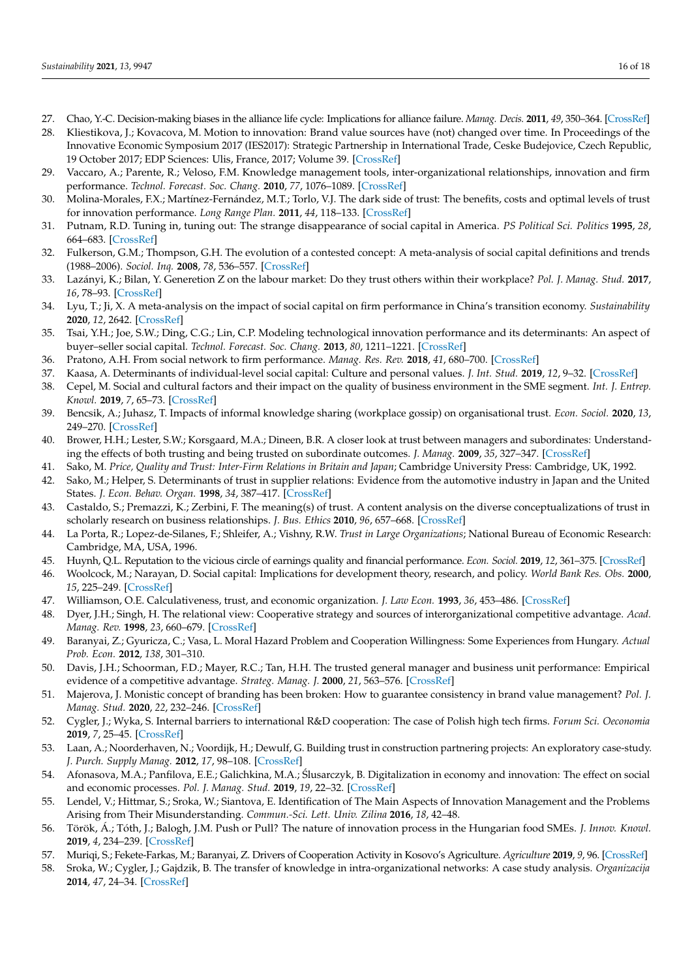- <span id="page-15-0"></span>27. Chao, Y.-C. Decision-making biases in the alliance life cycle: Implications for alliance failure. *Manag. Decis.* **2011**, *49*, 350–364. [\[CrossRef\]](http://doi.org/10.1108/00251741111120743)
- <span id="page-15-1"></span>28. Kliestikova, J.; Kovacova, M. Motion to innovation: Brand value sources have (not) changed over time. In Proceedings of the Innovative Economic Symposium 2017 (IES2017): Strategic Partnership in International Trade, Ceske Budejovice, Czech Republic, 19 October 2017; EDP Sciences: Ulis, France, 2017; Volume 39. [\[CrossRef\]](http://doi.org/10.1051/shsconf/20173901010)
- <span id="page-15-2"></span>29. Vaccaro, A.; Parente, R.; Veloso, F.M. Knowledge management tools, inter-organizational relationships, innovation and firm performance. *Technol. Forecast. Soc. Chang.* **2010**, *77*, 1076–1089. [\[CrossRef\]](http://doi.org/10.1016/j.techfore.2010.02.006)
- <span id="page-15-3"></span>30. Molina-Morales, F.X.; Martínez-Fernández, M.T.; Torlo, V.J. The dark side of trust: The benefits, costs and optimal levels of trust for innovation performance. *Long Range Plan.* **2011**, *44*, 118–133. [\[CrossRef\]](http://doi.org/10.1016/j.lrp.2011.01.001)
- <span id="page-15-4"></span>31. Putnam, R.D. Tuning in, tuning out: The strange disappearance of social capital in America. *PS Political Sci. Politics* **1995**, *28*, 664–683. [\[CrossRef\]](http://doi.org/10.1017/S1049096500058856)
- <span id="page-15-5"></span>32. Fulkerson, G.M.; Thompson, G.H. The evolution of a contested concept: A meta-analysis of social capital definitions and trends (1988–2006). *Sociol. Inq.* **2008**, *78*, 536–557. [\[CrossRef\]](http://doi.org/10.1111/j.1475-682X.2008.00260.x)
- <span id="page-15-6"></span>33. Lazányi, K.; Bilan, Y. Generetion Z on the labour market: Do they trust others within their workplace? *Pol. J. Manag. Stud.* **2017**, *16*, 78–93. [\[CrossRef\]](http://doi.org/10.17512/pjms.2017.16.1.07)
- <span id="page-15-7"></span>34. Lyu, T.; Ji, X. A meta-analysis on the impact of social capital on firm performance in China's transition economy. *Sustainability* **2020**, *12*, 2642. [\[CrossRef\]](http://doi.org/10.3390/su12072642)
- <span id="page-15-8"></span>35. Tsai, Y.H.; Joe, S.W.; Ding, C.G.; Lin, C.P. Modeling technological innovation performance and its determinants: An aspect of buyer–seller social capital. *Technol. Forecast. Soc. Chang.* **2013**, *80*, 1211–1221. [\[CrossRef\]](http://doi.org/10.1016/j.techfore.2012.10.028)
- <span id="page-15-9"></span>36. Pratono, A.H. From social network to firm performance. *Manag. Res. Rev.* **2018**, *41*, 680–700. [\[CrossRef\]](http://doi.org/10.1108/MRR-03-2017-0080)
- <span id="page-15-10"></span>37. Kaasa, A. Determinants of individual-level social capital: Culture and personal values. *J. Int. Stud.* **2019**, *12*, 9–32. [\[CrossRef\]](http://doi.org/10.14254/2071-8330.2019/12-1/1)
- <span id="page-15-11"></span>38. Cepel, M. Social and cultural factors and their impact on the quality of business environment in the SME segment. *Int. J. Entrep. Knowl.* **2019**, *7*, 65–73. [\[CrossRef\]](http://doi.org/10.37335/ijek.v7i1.88)
- <span id="page-15-12"></span>39. Bencsik, A.; Juhasz, T. Impacts of informal knowledge sharing (workplace gossip) on organisational trust. *Econ. Sociol.* **2020**, *13*, 249–270. [\[CrossRef\]](http://doi.org/10.14254/2071-789X.2020/13-1/16)
- <span id="page-15-13"></span>40. Brower, H.H.; Lester, S.W.; Korsgaard, M.A.; Dineen, B.R. A closer look at trust between managers and subordinates: Understanding the effects of both trusting and being trusted on subordinate outcomes. *J. Manag.* **2009**, *35*, 327–347. [\[CrossRef\]](http://doi.org/10.1177/0149206307312511)
- 41. Sako, M. *Price, Quality and Trust: Inter-Firm Relations in Britain and Japan*; Cambridge University Press: Cambridge, UK, 1992.
- <span id="page-15-14"></span>42. Sako, M.; Helper, S. Determinants of trust in supplier relations: Evidence from the automotive industry in Japan and the United States. *J. Econ. Behav. Organ.* **1998**, *34*, 387–417. [\[CrossRef\]](http://doi.org/10.1016/S0167-2681(97)00082-6)
- <span id="page-15-15"></span>43. Castaldo, S.; Premazzi, K.; Zerbini, F. The meaning(s) of trust. A content analysis on the diverse conceptualizations of trust in scholarly research on business relationships. *J. Bus. Ethics* **2010**, *96*, 657–668. [\[CrossRef\]](http://doi.org/10.1007/s10551-010-0491-4)
- <span id="page-15-28"></span>44. La Porta, R.; Lopez-de-Silanes, F.; Shleifer, A.; Vishny, R.W. *Trust in Large Organizations*; National Bureau of Economic Research: Cambridge, MA, USA, 1996.
- <span id="page-15-16"></span>45. Huynh, Q.L. Reputation to the vicious circle of earnings quality and financial performance. *Econ. Sociol.* **2019**, *12*, 361–375. [\[CrossRef\]](http://doi.org/10.14254/2071-789X.2019/12-2/22)
- <span id="page-15-17"></span>46. Woolcock, M.; Narayan, D. Social capital: Implications for development theory, research, and policy. *World Bank Res. Obs.* **2000**, *15*, 225–249. [\[CrossRef\]](http://doi.org/10.1093/wbro/15.2.225)
- <span id="page-15-18"></span>47. Williamson, O.E. Calculativeness, trust, and economic organization. *J. Law Econ.* **1993**, *36*, 453–486. [\[CrossRef\]](http://doi.org/10.1086/467284)
- 48. Dyer, J.H.; Singh, H. The relational view: Cooperative strategy and sources of interorganizational competitive advantage. *Acad. Manag. Rev.* **1998**, *23*, 660–679. [\[CrossRef\]](http://doi.org/10.5465/amr.1998.1255632)
- <span id="page-15-19"></span>49. Baranyai, Z.; Gyuricza, C.; Vasa, L. Moral Hazard Problem and Cooperation Willingness: Some Experiences from Hungary. *Actual Prob. Econ.* **2012**, *138*, 301–310.
- <span id="page-15-20"></span>50. Davis, J.H.; Schoorman, F.D.; Mayer, R.C.; Tan, H.H. The trusted general manager and business unit performance: Empirical evidence of a competitive advantage. *Strateg. Manag. J.* **2000**, *21*, 563–576. [\[CrossRef\]](http://doi.org/10.1002/(SICI)1097-0266(200005)21:5<563::AID-SMJ99>3.0.CO;2-0)
- <span id="page-15-21"></span>51. Majerova, J. Monistic concept of branding has been broken: How to guarantee consistency in brand value management? *Pol. J. Manag. Stud.* **2020**, *22*, 232–246. [\[CrossRef\]](http://doi.org/10.17512/pjms.2020.22.2.16)
- <span id="page-15-22"></span>52. Cygler, J.; Wyka, S. Internal barriers to international R&D cooperation: The case of Polish high tech firms. *Forum Sci. Oeconomia* **2019**, *7*, 25–45. [\[CrossRef\]](http://doi.org/10.23762/FSO_VOL7_NO1_2)
- <span id="page-15-23"></span>53. Laan, A.; Noorderhaven, N.; Voordijk, H.; Dewulf, G. Building trust in construction partnering projects: An exploratory case-study. *J. Purch. Supply Manag.* **2012**, *17*, 98–108. [\[CrossRef\]](http://doi.org/10.1016/j.pursup.2010.11.001)
- <span id="page-15-24"></span>54. Afonasova, M.A.; Panfilova, E.E.; Galichkina, M.A.; Slusarczyk, B. Digitalization in economy and innovation: The effect on social ´ and economic processes. *Pol. J. Manag. Stud.* **2019**, *19*, 22–32. [\[CrossRef\]](http://doi.org/10.17512/pjms.2019.19.2.02)
- 55. Lendel, V.; Hittmar, S.; Sroka, W.; Siantova, E. Identification of The Main Aspects of Innovation Management and the Problems Arising from Their Misunderstanding. *Commun.-Sci. Lett. Univ. Zilina* **2016**, *18*, 42–48.
- <span id="page-15-25"></span>56. Török, Á.; Tóth, J.; Balogh, J.M. Push or Pull? The nature of innovation process in the Hungarian food SMEs. *J. Innov. Knowl.* **2019**, *4*, 234–239. [\[CrossRef\]](http://doi.org/10.1016/j.jik.2018.03.007)
- <span id="page-15-26"></span>57. Muriqi, S.; Fekete-Farkas, M.; Baranyai, Z. Drivers of Cooperation Activity in Kosovo's Agriculture. *Agriculture* **2019**, *9*, 96. [\[CrossRef\]](http://doi.org/10.3390/agriculture9050096)
- <span id="page-15-27"></span>58. Sroka, W.; Cygler, J.; Gajdzik, B. The transfer of knowledge in intra-organizational networks: A case study analysis. *Organizacija* **2014**, *47*, 24–34. [\[CrossRef\]](http://doi.org/10.2478/orga-2014-0003)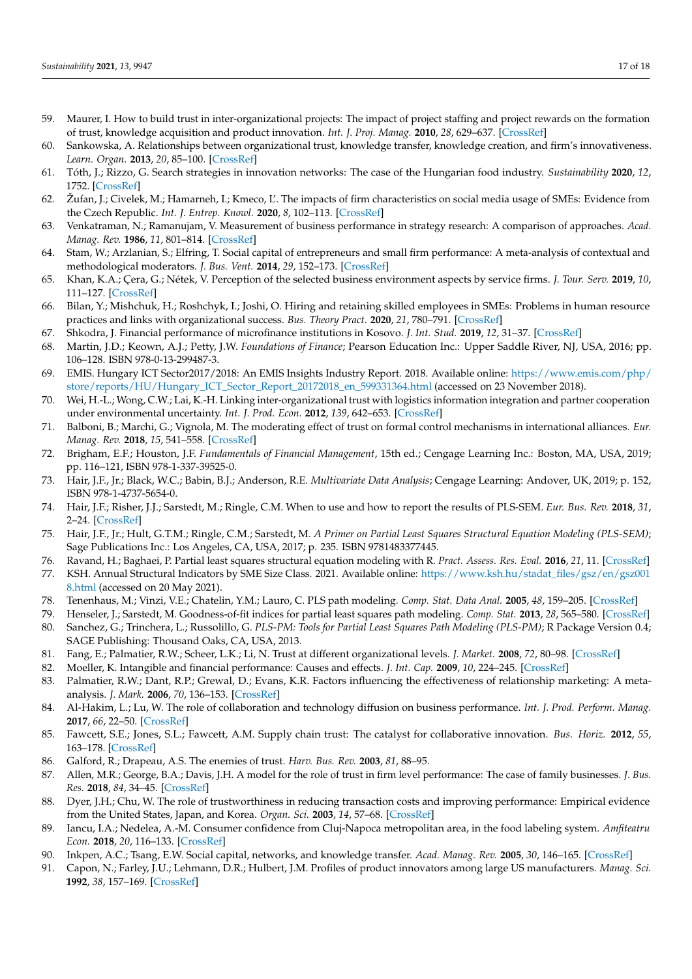- <span id="page-16-0"></span>59. Maurer, I. How to build trust in inter-organizational projects: The impact of project staffing and project rewards on the formation of trust, knowledge acquisition and product innovation. *Int. J. Proj. Manag.* **2010**, *28*, 629–637. [\[CrossRef\]](http://doi.org/10.1016/j.ijproman.2009.11.006)
- <span id="page-16-12"></span>60. Sankowska, A. Relationships between organizational trust, knowledge transfer, knowledge creation, and firm's innovativeness. *Learn. Organ.* **2013**, *20*, 85–100. [\[CrossRef\]](http://doi.org/10.1108/09696471311288546)
- <span id="page-16-1"></span>61. Tóth, J.; Rizzo, G. Search strategies in innovation networks: The case of the Hungarian food industry. *Sustainability* **2020**, *12*, 1752. [\[CrossRef\]](http://doi.org/10.3390/su12051752)
- <span id="page-16-2"></span>62. Žufan, J.; Civelek, M.; Hamarneh, I.; Kmeco, L'. The impacts of firm characteristics on social media usage of SMEs: Evidence from the Czech Republic. *Int. J. Entrep. Knowl.* **2020**, *8*, 102–113. [\[CrossRef\]](http://doi.org/10.37335/ijek.v8i1.111)
- <span id="page-16-3"></span>63. Venkatraman, N.; Ramanujam, V. Measurement of business performance in strategy research: A comparison of approaches. *Acad. Manag. Rev.* **1986**, *11*, 801–814. [\[CrossRef\]](http://doi.org/10.5465/amr.1986.4283976)
- <span id="page-16-4"></span>64. Stam, W.; Arzlanian, S.; Elfring, T. Social capital of entrepreneurs and small firm performance: A meta-analysis of contextual and methodological moderators. *J. Bus. Vent.* **2014**, *29*, 152–173. [\[CrossRef\]](http://doi.org/10.1016/j.jbusvent.2013.01.002)
- <span id="page-16-5"></span>65. Khan, K.A.; Çera, G.; Nétek, V. Perception of the selected business environment aspects by service firms. *J. Tour. Serv.* **2019**, *10*, 111–127. [\[CrossRef\]](http://doi.org/10.29036/jots.v10i19.115)
- <span id="page-16-6"></span>66. Bilan, Y.; Mishchuk, H.; Roshchyk, I.; Joshi, O. Hiring and retaining skilled employees in SMEs: Problems in human resource practices and links with organizational success. *Bus. Theory Pract.* **2020**, *21*, 780–791. [\[CrossRef\]](http://doi.org/10.3846/btp.2020.12750)
- <span id="page-16-7"></span>67. Shkodra, J. Financial performance of microfinance institutions in Kosovo. *J. Int. Stud.* **2019**, *12*, 31–37. [\[CrossRef\]](http://doi.org/10.14254/2071-8330.2019/12-3/3)
- <span id="page-16-8"></span>68. Martin, J.D.; Keown, A.J.; Petty, J.W. *Foundations of Finance*; Pearson Education Inc.: Upper Saddle River, NJ, USA, 2016; pp. 106–128. ISBN 978-0-13-299487-3.
- <span id="page-16-9"></span>69. EMIS. Hungary ICT Sector2017/2018: An EMIS Insights Industry Report. 2018. Available online: [https://www.emis.com/php/](https://www.emis.com/php/store/reports/HU/Hungary_ICT_Sector_Report_20172018_en_599331364.html) [store/reports/HU/Hungary\\_ICT\\_Sector\\_Report\\_20172018\\_en\\_599331364.html](https://www.emis.com/php/store/reports/HU/Hungary_ICT_Sector_Report_20172018_en_599331364.html) (accessed on 23 November 2018).
- <span id="page-16-10"></span>70. Wei, H.-L.; Wong, C.W.; Lai, K.-H. Linking inter-organizational trust with logistics information integration and partner cooperation under environmental uncertainty. *Int. J. Prod. Econ.* **2012**, *139*, 642–653. [\[CrossRef\]](http://doi.org/10.1016/j.ijpe.2012.05.036)
- <span id="page-16-11"></span>71. Balboni, B.; Marchi, G.; Vignola, M. The moderating effect of trust on formal control mechanisms in international alliances. *Eur. Manag. Rev.* **2018**, *15*, 541–558. [\[CrossRef\]](http://doi.org/10.1111/emre.12150)
- <span id="page-16-13"></span>72. Brigham, E.F.; Houston, J.F. *Fundamentals of Financial Management*, 15th ed.; Cengage Learning Inc.: Boston, MA, USA, 2019; pp. 116–121, ISBN 978-1-337-39525-0.
- <span id="page-16-14"></span>73. Hair, J.F., Jr.; Black, W.C.; Babin, B.J.; Anderson, R.E. *Multivariate Data Analysis*; Cengage Learning: Andover, UK, 2019; p. 152, ISBN 978-1-4737-5654-0.
- <span id="page-16-15"></span>74. Hair, J.F.; Risher, J.J.; Sarstedt, M.; Ringle, C.M. When to use and how to report the results of PLS-SEM. *Eur. Bus. Rev.* **2018**, *31*, 2–24. [\[CrossRef\]](http://doi.org/10.1108/EBR-11-2018-0203)
- <span id="page-16-17"></span>75. Hair, J.F., Jr.; Hult, G.T.M.; Ringle, C.M.; Sarstedt, M. *A Primer on Partial Least Squares Structural Equation Modeling (PLS-SEM)*; Sage Publications Inc.: Los Angeles, CA, USA, 2017; p. 235. ISBN 9781483377445.
- <span id="page-16-16"></span>76. Ravand, H.; Baghaei, P. Partial least squares structural equation modeling with R. *Pract. Assess. Res. Eval.* **2016**, *21*, 11. [\[CrossRef\]](http://doi.org/10.7275/d2fa-qv48)
- <span id="page-16-18"></span>77. KSH. Annual Structural Indicators by SME Size Class. 2021. Available online: [https://www.ksh.hu/stadat\\_files/gsz/en/gsz001](https://www.ksh.hu/stadat_files/gsz/en/gsz0018.html) [8.html](https://www.ksh.hu/stadat_files/gsz/en/gsz0018.html) (accessed on 20 May 2021).
- <span id="page-16-19"></span>78. Tenenhaus, M.; Vinzi, V.E.; Chatelin, Y.M.; Lauro, C. PLS path modeling. *Comp. Stat. Data Anal.* **2005**, *48*, 159–205. [\[CrossRef\]](http://doi.org/10.1016/j.csda.2004.03.005)
- <span id="page-16-20"></span>79. Henseler, J.; Sarstedt, M. Goodness-of-fit indices for partial least squares path modeling. *Comp. Stat.* **2013**, *28*, 565–580. [\[CrossRef\]](http://doi.org/10.1007/s00180-012-0317-1)
- <span id="page-16-21"></span>80. Sanchez, G.; Trinchera, L.; Russolillo, G. *PLS-PM: Tools for Partial Least Squares Path Modeling (PLS-PM)*; R Package Version 0.4; SAGE Publishing: Thousand Oaks, CA, USA, 2013.
- <span id="page-16-22"></span>81. Fang, E.; Palmatier, R.W.; Scheer, L.K.; Li, N. Trust at different organizational levels. *J. Market.* **2008**, *72*, 80–98. [\[CrossRef\]](http://doi.org/10.1509/jmkg.72.2.80)
- <span id="page-16-23"></span>82. Moeller, K. Intangible and financial performance: Causes and effects. *J. Int. Cap.* **2009**, *10*, 224–245. [\[CrossRef\]](http://doi.org/10.1108/14691930910952632)
- <span id="page-16-24"></span>83. Palmatier, R.W.; Dant, R.P.; Grewal, D.; Evans, K.R. Factors influencing the effectiveness of relationship marketing: A metaanalysis. *J. Mark.* **2006**, *70*, 136–153. [\[CrossRef\]](http://doi.org/10.1509/jmkg.70.4.136)
- <span id="page-16-25"></span>84. Al-Hakim, L.; Lu, W. The role of collaboration and technology diffusion on business performance. *Int. J. Prod. Perform. Manag.* **2017**, *66*, 22–50. [\[CrossRef\]](http://doi.org/10.1108/IJPPM-08-2014-0122)
- <span id="page-16-26"></span>85. Fawcett, S.E.; Jones, S.L.; Fawcett, A.M. Supply chain trust: The catalyst for collaborative innovation. *Bus. Horiz.* **2012**, *55*, 163–178. [\[CrossRef\]](http://doi.org/10.1016/j.bushor.2011.11.004)
- <span id="page-16-27"></span>86. Galford, R.; Drapeau, A.S. The enemies of trust. *Harv. Bus. Rev.* **2003**, *81*, 88–95.
- <span id="page-16-28"></span>87. Allen, M.R.; George, B.A.; Davis, J.H. A model for the role of trust in firm level performance: The case of family businesses. *J. Bus. Res.* **2018**, *84*, 34–45. [\[CrossRef\]](http://doi.org/10.1016/j.jbusres.2017.10.048)
- 88. Dyer, J.H.; Chu, W. The role of trustworthiness in reducing transaction costs and improving performance: Empirical evidence from the United States, Japan, and Korea. *Organ. Sci.* **2003**, *14*, 57–68. [\[CrossRef\]](http://doi.org/10.1287/orsc.14.1.57.12806)
- <span id="page-16-29"></span>89. Iancu, I.A.; Nedelea, A.-M. Consumer confidence from Cluj-Napoca metropolitan area, in the food labeling system. *Amfiteatru Econ.* **2018**, *20*, 116–133. [\[CrossRef\]](http://doi.org/10.24818/EA/2018/47/116)
- <span id="page-16-30"></span>90. Inkpen, A.C.; Tsang, E.W. Social capital, networks, and knowledge transfer. *Acad. Manag. Rev.* **2005**, *30*, 146–165. [\[CrossRef\]](http://doi.org/10.5465/amr.2005.15281445)
- <span id="page-16-31"></span>91. Capon, N.; Farley, J.U.; Lehmann, D.R.; Hulbert, J.M. Profiles of product innovators among large US manufacturers. *Manag. Sci.* **1992**, *38*, 157–169. [\[CrossRef\]](http://doi.org/10.1287/mnsc.38.2.157)